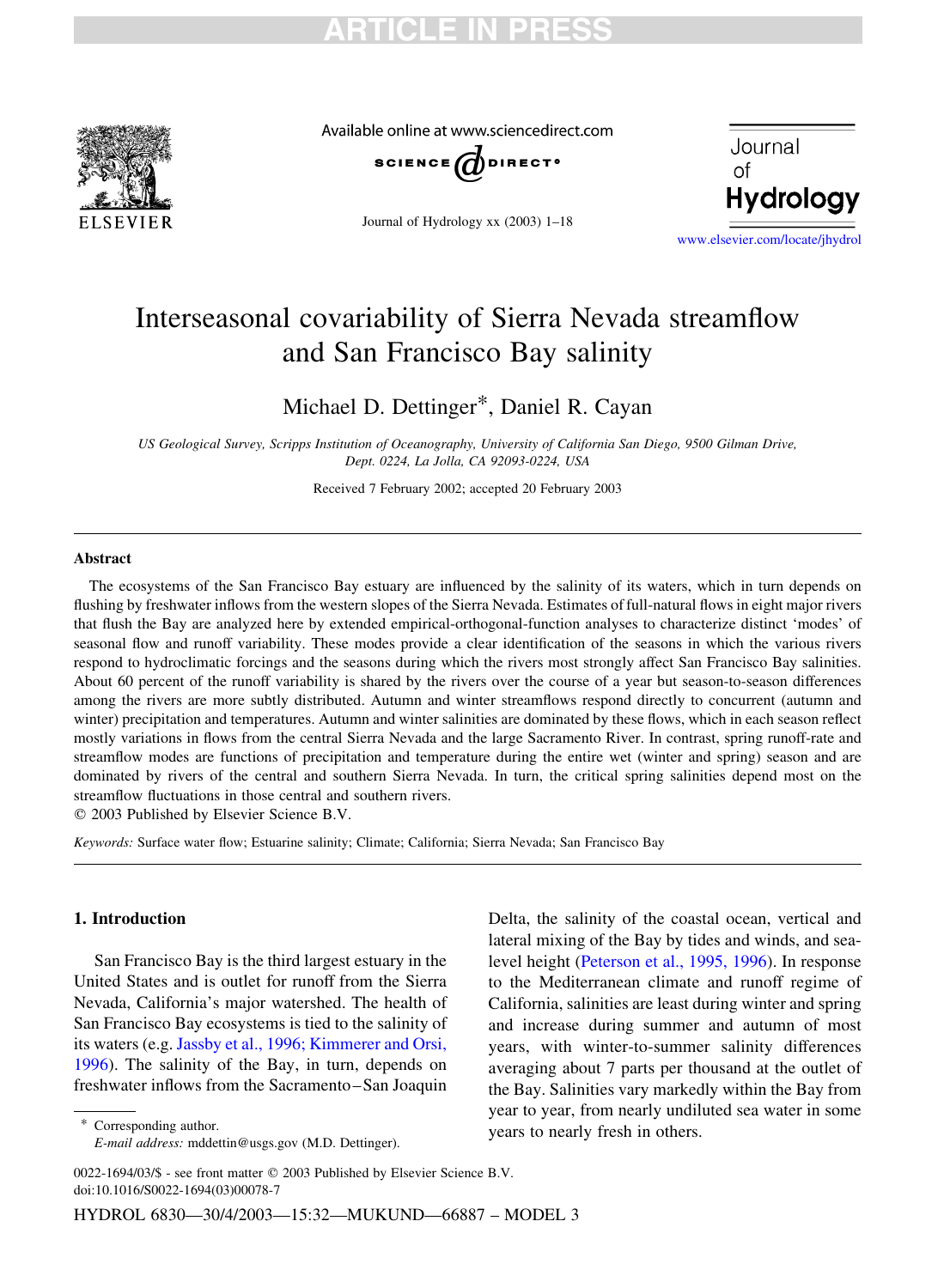

Available online at www.sciencedirect.com



Journal of Hydrology xx (2003) 1–18



[www.elsevier.com/locate/jhydrol](http://www.elsevier.com/locate/jhydrol)

### Interseasonal covariability of Sierra Nevada streamflow and San Francisco Bay salinity

Michael D. Dettinger\*, Daniel R. Cayan

US Geological Survey, Scripps Institution of Oceanography, University of California San Diego, 9500 Gilman Drive, Dept. 0224, La Jolla, CA 92093-0224, USA

Received 7 February 2002; accepted 20 February 2003

#### Abstract

The ecosystems of the San Francisco Bay estuary are influenced by the salinity of its waters, which in turn depends on flushing by freshwater inflows from the western slopes of the Sierra Nevada. Estimates of full-natural flows in eight major rivers that flush the Bay are analyzed here by extended empirical-orthogonal-function analyses to characterize distinct 'modes' of seasonal flow and runoff variability. These modes provide a clear identification of the seasons in which the various rivers respond to hydroclimatic forcings and the seasons during which the rivers most strongly affect San Francisco Bay salinities. About 60 percent of the runoff variability is shared by the rivers over the course of a year but season-to-season differences among the rivers are more subtly distributed. Autumn and winter streamflows respond directly to concurrent (autumn and winter) precipitation and temperatures. Autumn and winter salinities are dominated by these flows, which in each season reflect mostly variations in flows from the central Sierra Nevada and the large Sacramento River. In contrast, spring runoff-rate and streamflow modes are functions of precipitation and temperature during the entire wet (winter and spring) season and are dominated by rivers of the central and southern Sierra Nevada. In turn, the critical spring salinities depend most on the streamflow fluctuations in those central and southern rivers.

 $Q$  2003 Published by Elsevier Science B.V.

Keywords: Surface water flow; Estuarine salinity; Climate; California; Sierra Nevada; San Francisco Bay

#### 1. Introduction

San Francisco Bay is the third largest estuary in the United States and is outlet for runoff from the Sierra Nevada, California's major watershed. The health of San Francisco Bay ecosystems is tied to the salinity of its waters (e.g. [Jassby et al., 1996; Kimmerer and Orsi,](#page-16-0) [1996](#page-16-0)). The salinity of the Bay, in turn, depends on freshwater inflows from the Sacramento–San Joaquin

Delta, the salinity of the coastal ocean, vertical and lateral mixing of the Bay by tides and winds, and sealevel height ([Peterson et al., 1995, 1996](#page-17-0)). In response to the Mediterranean climate and runoff regime of California, salinities are least during winter and spring and increase during summer and autumn of most years, with winter-to-summer salinity differences averaging about 7 parts per thousand at the outlet of the Bay. Salinities vary markedly within the Bay from year to year, from nearly undiluted sea water in some years to nearly fresh in others.

doi:10.1016/S0022-1694(03)00078-7

\* Corresponding author.

<sup>0022-1694/03/\$ -</sup> see front matter © 2003 Published by Elsevier Science B.V. E-mail address: mddettin@usgs.gov (M.D. Dettinger).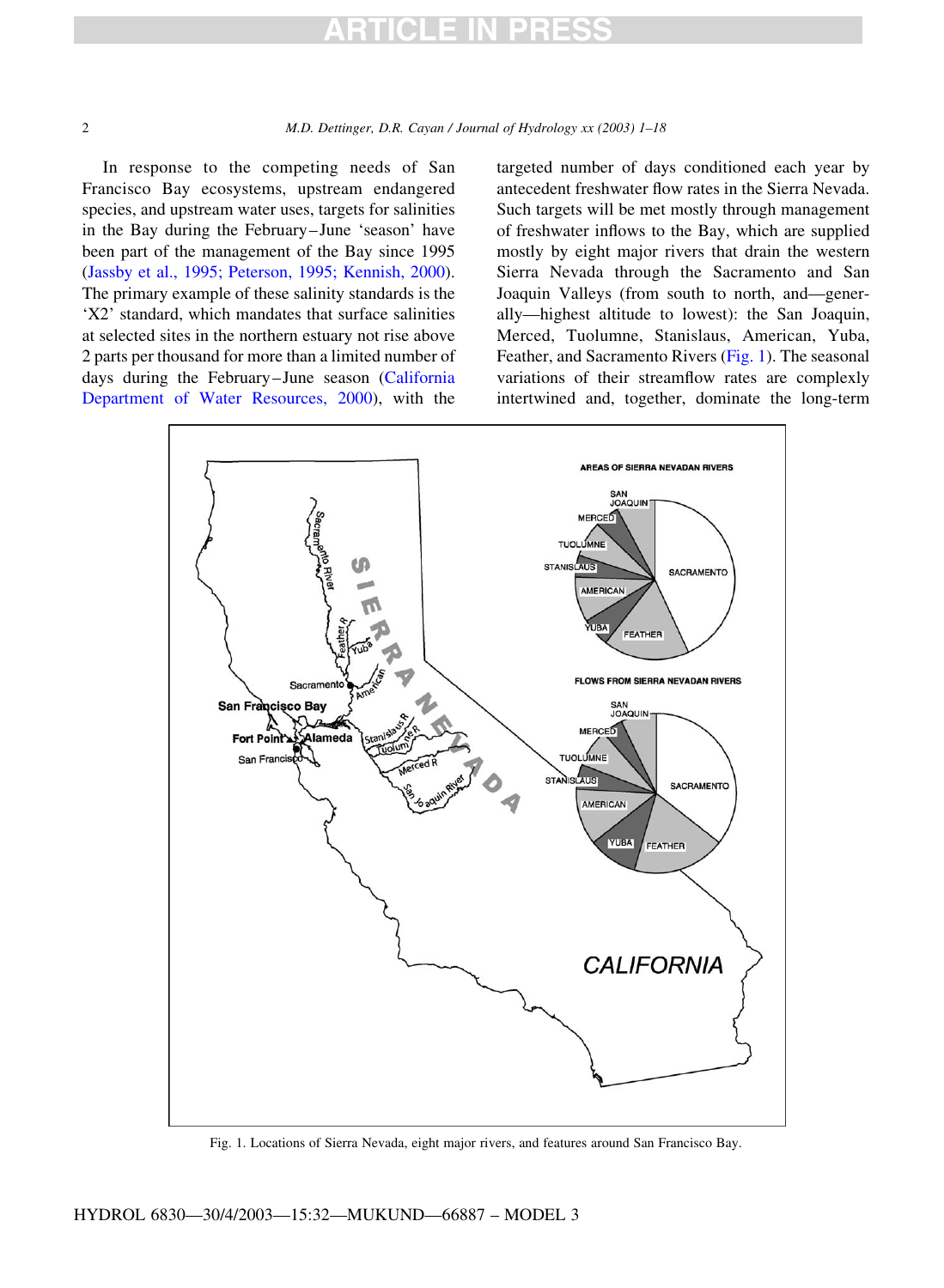<span id="page-1-0"></span>2 M.D. Dettinger, D.R. Cayan / Journal of Hydrology xx (2003) 1–18

In response to the competing needs of San Francisco Bay ecosystems, upstream endangered species, and upstream water uses, targets for salinities in the Bay during the February–June 'season' have been part of the management of the Bay since 1995 ([Jassby et al., 1995; Peterson, 1995; Kennish, 2000\)](#page-16-0). The primary example of these salinity standards is the 'X2' standard, which mandates that surface salinities at selected sites in the northern estuary not rise above 2 parts per thousand for more than a limited number of days during the February–June season ([California](#page-16-0) [Department of Water Resources, 2000\)](#page-16-0), with the

targeted number of days conditioned each year by antecedent freshwater flow rates in the Sierra Nevada. Such targets will be met mostly through management of freshwater inflows to the Bay, which are supplied mostly by eight major rivers that drain the western Sierra Nevada through the Sacramento and San Joaquin Valleys (from south to north, and—generally—highest altitude to lowest): the San Joaquin, Merced, Tuolumne, Stanislaus, American, Yuba, Feather, and Sacramento Rivers (Fig. 1). The seasonal variations of their streamflow rates are complexly intertwined and, together, dominate the long-term



Fig. 1. Locations of Sierra Nevada, eight major rivers, and features around San Francisco Bay.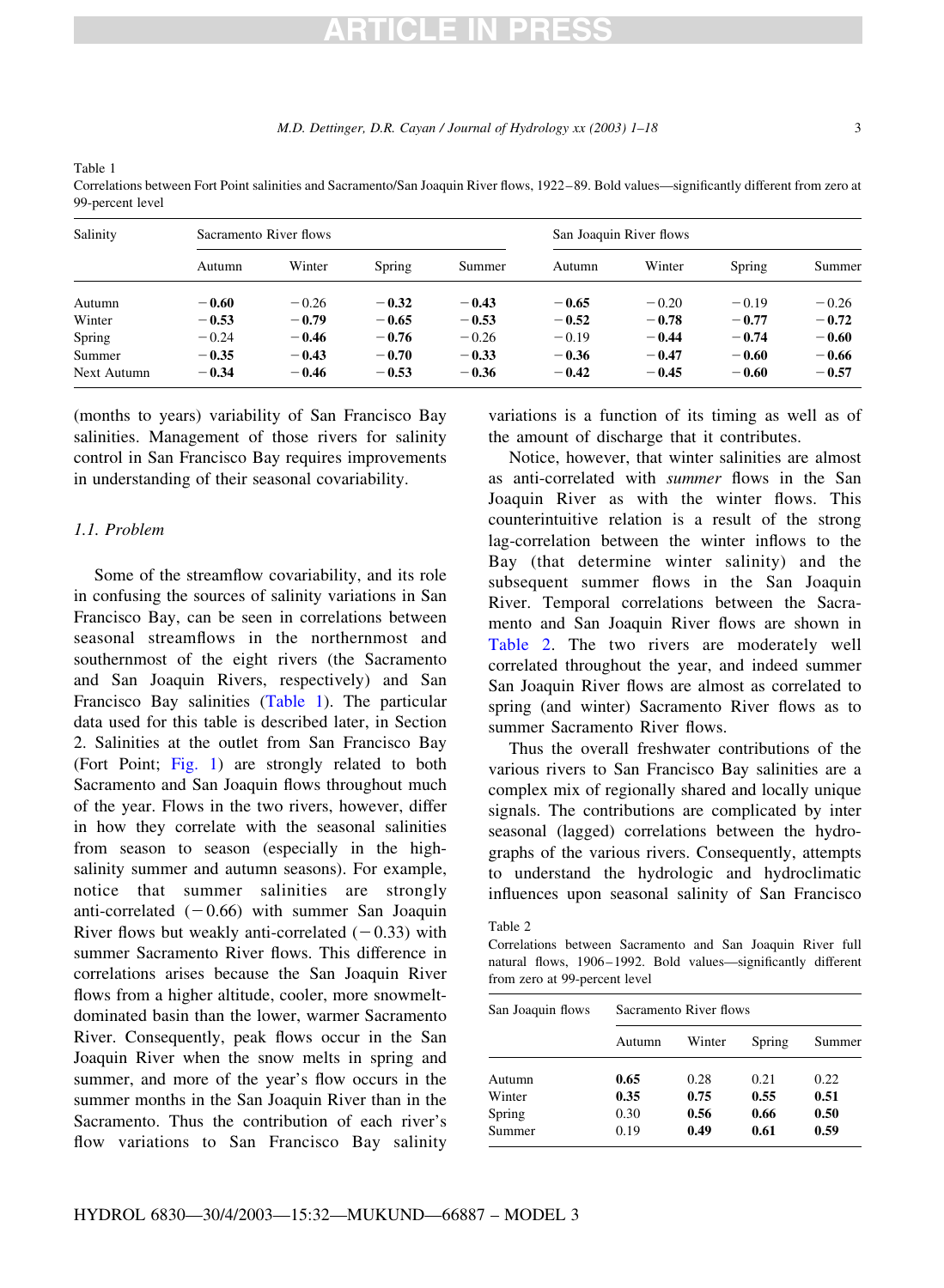### ICLE I

M.D. Dettinger, D.R. Cayan / Journal of Hydrology xx (2003) 1–18 3

Salinity Sacramento River flows San Joaquin River flows Autumn Winter Spring Summer Autumn Winter Spring Summer Autumn  $-0.60$   $-0.26$   $-0.32$   $-0.43$   $-0.65$   $-0.20$   $-0.19$   $-0.26$ Winter  $-0.53$   $-0.79$   $-0.65$   $-0.53$   $-0.52$   $-0.78$   $-0.77$   $-0.72$ Spring  $-0.24$   $-0.46$   $-0.76$   $-0.26$   $-0.19$   $-0.44$   $-0.74$   $-0.60$ Summer  $-0.35$   $-0.43$   $-0.70$   $-0.33$   $-0.36$   $-0.47$   $-0.60$   $-0.66$ Next Autumn  $-0.34$   $-0.46$   $-0.53$   $-0.36$   $-0.42$   $-0.45$   $-0.60$   $-0.57$ 

<span id="page-2-0"></span>Table 1

Correlations between Fort Point salinities and Sacramento/San Joaquin River flows, 1922–89. Bold values—significantly different from zero at 99-percent level

(months to years) variability of San Francisco Bay salinities. Management of those rivers for salinity control in San Francisco Bay requires improvements in understanding of their seasonal covariability.

#### 1.1. Problem

Some of the streamflow covariability, and its role in confusing the sources of salinity variations in San Francisco Bay, can be seen in correlations between seasonal streamflows in the northernmost and southernmost of the eight rivers (the Sacramento and San Joaquin Rivers, respectively) and San Francisco Bay salinities (Table 1). The particular data used for this table is described later, in Section 2. Salinities at the outlet from San Francisco Bay (Fort Point; [Fig. 1\)](#page-1-0) are strongly related to both Sacramento and San Joaquin flows throughout much of the year. Flows in the two rivers, however, differ in how they correlate with the seasonal salinities from season to season (especially in the highsalinity summer and autumn seasons). For example, notice that summer salinities are strongly anti-correlated  $(-0.66)$  with summer San Joaquin River flows but weakly anti-correlated  $(-0.33)$  with summer Sacramento River flows. This difference in correlations arises because the San Joaquin River flows from a higher altitude, cooler, more snowmeltdominated basin than the lower, warmer Sacramento River. Consequently, peak flows occur in the San Joaquin River when the snow melts in spring and summer, and more of the year's flow occurs in the summer months in the San Joaquin River than in the Sacramento. Thus the contribution of each river's flow variations to San Francisco Bay salinity

variations is a function of its timing as well as of the amount of discharge that it contributes.

Notice, however, that winter salinities are almost as anti-correlated with summer flows in the San Joaquin River as with the winter flows. This counterintuitive relation is a result of the strong lag-correlation between the winter inflows to the Bay (that determine winter salinity) and the subsequent summer flows in the San Joaquin River. Temporal correlations between the Sacramento and San Joaquin River flows are shown in Table 2. The two rivers are moderately well correlated throughout the year, and indeed summer San Joaquin River flows are almost as correlated to spring (and winter) Sacramento River flows as to summer Sacramento River flows.

Thus the overall freshwater contributions of the various rivers to San Francisco Bay salinities are a complex mix of regionally shared and locally unique signals. The contributions are complicated by inter seasonal (lagged) correlations between the hydrographs of the various rivers. Consequently, attempts to understand the hydrologic and hydroclimatic influences upon seasonal salinity of San Francisco

Correlations between Sacramento and San Joaquin River full natural flows, 1906–1992. Bold values—significantly different from zero at 99-percent level

| San Joaquin flows | Sacramento River flows |        |        |        |  |
|-------------------|------------------------|--------|--------|--------|--|
|                   | Autumn                 | Winter | Spring | Summer |  |
| Autumn            | 0.65                   | 0.28   | 0.21   | 0.22   |  |
| Winter            | 0.35                   | 0.75   | 0.55   | 0.51   |  |
| Spring            | 0.30                   | 0.56   | 0.66   | 0.50   |  |
| Summer            | 0.19                   | 0.49   | 0.61   | 0.59   |  |

Table 2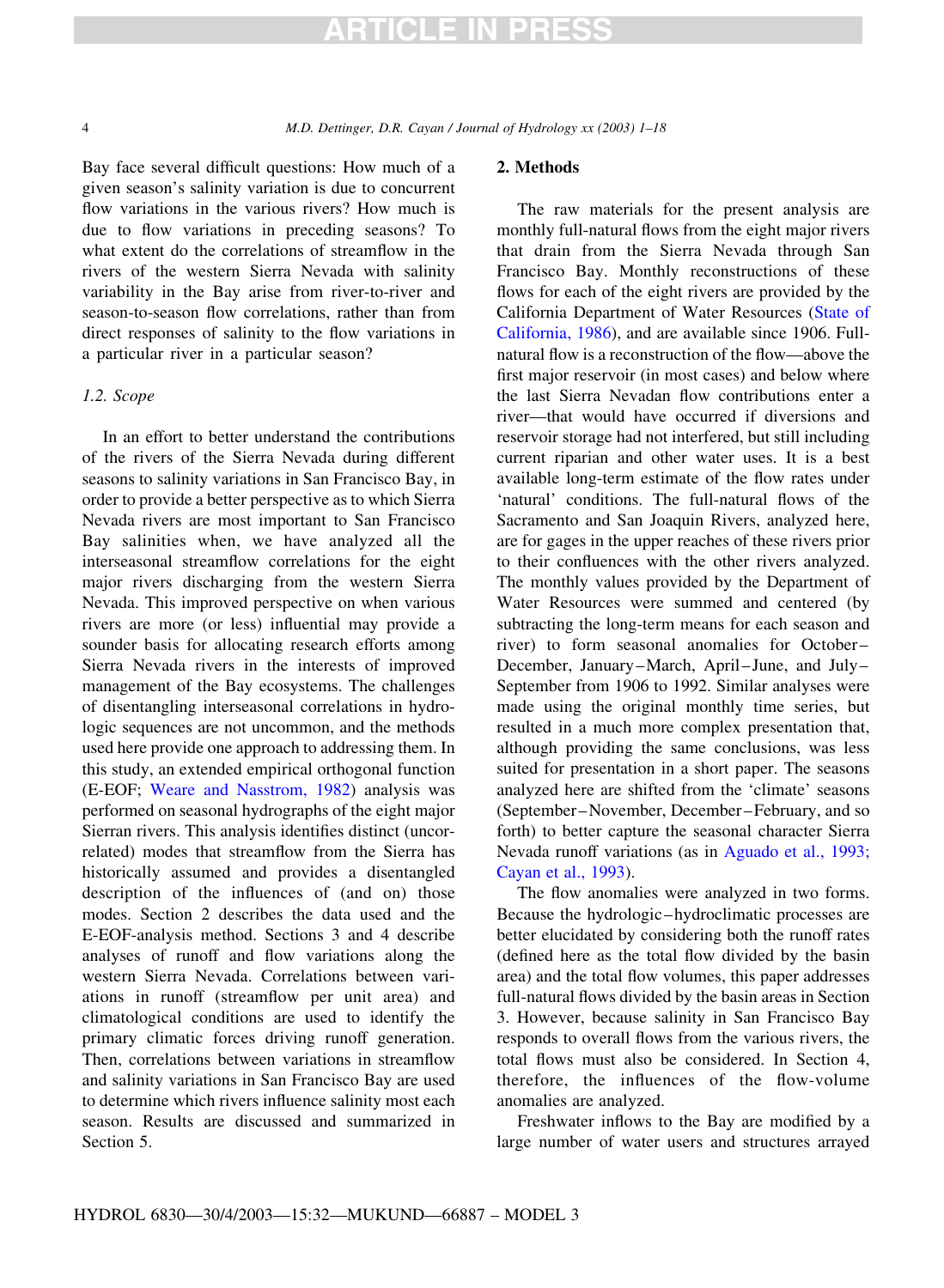### TICLE IN

Bay face several difficult questions: How much of a given season's salinity variation is due to concurrent flow variations in the various rivers? How much is due to flow variations in preceding seasons? To what extent do the correlations of streamflow in the rivers of the western Sierra Nevada with salinity variability in the Bay arise from river-to-river and season-to-season flow correlations, rather than from direct responses of salinity to the flow variations in a particular river in a particular season?

#### 1.2. Scope

In an effort to better understand the contributions of the rivers of the Sierra Nevada during different seasons to salinity variations in San Francisco Bay, in order to provide a better perspective as to which Sierra Nevada rivers are most important to San Francisco Bay salinities when, we have analyzed all the interseasonal streamflow correlations for the eight major rivers discharging from the western Sierra Nevada. This improved perspective on when various rivers are more (or less) influential may provide a sounder basis for allocating research efforts among Sierra Nevada rivers in the interests of improved management of the Bay ecosystems. The challenges of disentangling interseasonal correlations in hydrologic sequences are not uncommon, and the methods used here provide one approach to addressing them. In this study, an extended empirical orthogonal function (E-EOF; [Weare and Nasstrom, 1982](#page-17-0)) analysis was performed on seasonal hydrographs of the eight major Sierran rivers. This analysis identifies distinct (uncorrelated) modes that streamflow from the Sierra has historically assumed and provides a disentangled description of the influences of (and on) those modes. Section 2 describes the data used and the E-EOF-analysis method. Sections 3 and 4 describe analyses of runoff and flow variations along the western Sierra Nevada. Correlations between variations in runoff (streamflow per unit area) and climatological conditions are used to identify the primary climatic forces driving runoff generation. Then, correlations between variations in streamflow and salinity variations in San Francisco Bay are used to determine which rivers influence salinity most each season. Results are discussed and summarized in Section 5.

#### 2. Methods

The raw materials for the present analysis are monthly full-natural flows from the eight major rivers that drain from the Sierra Nevada through San Francisco Bay. Monthly reconstructions of these flows for each of the eight rivers are provided by the California Department of Water Resources ([State of](#page-17-0) [California, 1986\)](#page-17-0), and are available since 1906. Fullnatural flow is a reconstruction of the flow—above the first major reservoir (in most cases) and below where the last Sierra Nevadan flow contributions enter a river—that would have occurred if diversions and reservoir storage had not interfered, but still including current riparian and other water uses. It is a best available long-term estimate of the flow rates under 'natural' conditions. The full-natural flows of the Sacramento and San Joaquin Rivers, analyzed here, are for gages in the upper reaches of these rivers prior to their confluences with the other rivers analyzed. The monthly values provided by the Department of Water Resources were summed and centered (by subtracting the long-term means for each season and river) to form seasonal anomalies for October– December, January–March, April–June, and July– September from 1906 to 1992. Similar analyses were made using the original monthly time series, but resulted in a much more complex presentation that, although providing the same conclusions, was less suited for presentation in a short paper. The seasons analyzed here are shifted from the 'climate' seasons (September–November, December–February, and so forth) to better capture the seasonal character Sierra Nevada runoff variations (as in [Aguado et al., 1993;](#page-16-0) [Cayan et al., 1993\)](#page-16-0).

The flow anomalies were analyzed in two forms. Because the hydrologic–hydroclimatic processes are better elucidated by considering both the runoff rates (defined here as the total flow divided by the basin area) and the total flow volumes, this paper addresses full-natural flows divided by the basin areas in Section 3. However, because salinity in San Francisco Bay responds to overall flows from the various rivers, the total flows must also be considered. In Section 4, therefore, the influences of the flow-volume anomalies are analyzed.

Freshwater inflows to the Bay are modified by a large number of water users and structures arrayed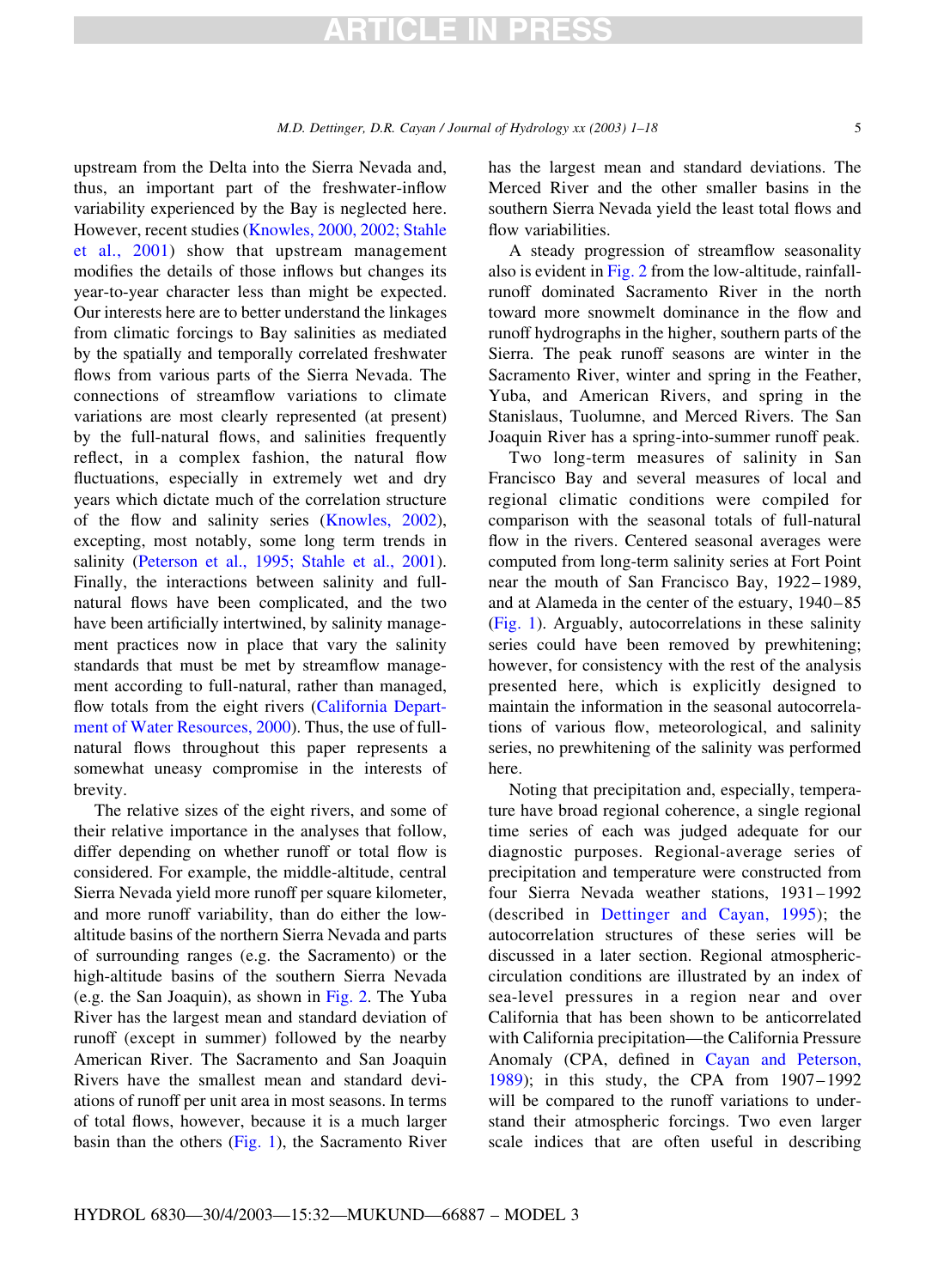#### TICLE IN P

upstream from the Delta into the Sierra Nevada and, thus, an important part of the freshwater-inflow variability experienced by the Bay is neglected here. However, recent studies [\(Knowles, 2000, 2002; Stahle](#page-17-0) [et al., 2001\)](#page-17-0) show that upstream management modifies the details of those inflows but changes its year-to-year character less than might be expected. Our interests here are to better understand the linkages from climatic forcings to Bay salinities as mediated by the spatially and temporally correlated freshwater flows from various parts of the Sierra Nevada. The connections of streamflow variations to climate variations are most clearly represented (at present) by the full-natural flows, and salinities frequently reflect, in a complex fashion, the natural flow fluctuations, especially in extremely wet and dry years which dictate much of the correlation structure of the flow and salinity series ([Knowles, 2002\)](#page-17-0), excepting, most notably, some long term trends in salinity ([Peterson et al., 1995; Stahle et al., 2001\)](#page-17-0). Finally, the interactions between salinity and fullnatural flows have been complicated, and the two have been artificially intertwined, by salinity management practices now in place that vary the salinity standards that must be met by streamflow management according to full-natural, rather than managed, flow totals from the eight rivers ([California Depart](#page-16-0)[ment of Water Resources, 2000\)](#page-16-0). Thus, the use of fullnatural flows throughout this paper represents a somewhat uneasy compromise in the interests of brevity.

The relative sizes of the eight rivers, and some of their relative importance in the analyses that follow, differ depending on whether runoff or total flow is considered. For example, the middle-altitude, central Sierra Nevada yield more runoff per square kilometer, and more runoff variability, than do either the lowaltitude basins of the northern Sierra Nevada and parts of surrounding ranges (e.g. the Sacramento) or the high-altitude basins of the southern Sierra Nevada (e.g. the San Joaquin), as shown in [Fig. 2.](#page-5-0) The Yuba River has the largest mean and standard deviation of runoff (except in summer) followed by the nearby American River. The Sacramento and San Joaquin Rivers have the smallest mean and standard deviations of runoff per unit area in most seasons. In terms of total flows, however, because it is a much larger basin than the others [\(Fig. 1](#page-1-0)), the Sacramento River has the largest mean and standard deviations. The Merced River and the other smaller basins in the southern Sierra Nevada yield the least total flows and flow variabilities.

A steady progression of streamflow seasonality also is evident in [Fig. 2](#page-5-0) from the low-altitude, rainfallrunoff dominated Sacramento River in the north toward more snowmelt dominance in the flow and runoff hydrographs in the higher, southern parts of the Sierra. The peak runoff seasons are winter in the Sacramento River, winter and spring in the Feather, Yuba, and American Rivers, and spring in the Stanislaus, Tuolumne, and Merced Rivers. The San Joaquin River has a spring-into-summer runoff peak.

Two long-term measures of salinity in San Francisco Bay and several measures of local and regional climatic conditions were compiled for comparison with the seasonal totals of full-natural flow in the rivers. Centered seasonal averages were computed from long-term salinity series at Fort Point near the mouth of San Francisco Bay, 1922–1989, and at Alameda in the center of the estuary, 1940–85 ([Fig. 1](#page-1-0)). Arguably, autocorrelations in these salinity series could have been removed by prewhitening; however, for consistency with the rest of the analysis presented here, which is explicitly designed to maintain the information in the seasonal autocorrelations of various flow, meteorological, and salinity series, no prewhitening of the salinity was performed here.

Noting that precipitation and, especially, temperature have broad regional coherence, a single regional time series of each was judged adequate for our diagnostic purposes. Regional-average series of precipitation and temperature were constructed from four Sierra Nevada weather stations, 1931–1992 (described in [Dettinger and Cayan, 1995](#page-16-0)); the autocorrelation structures of these series will be discussed in a later section. Regional atmosphericcirculation conditions are illustrated by an index of sea-level pressures in a region near and over California that has been shown to be anticorrelated with California precipitation—the California Pressure Anomaly (CPA, defined in [Cayan and Peterson,](#page-16-0) [1989\)](#page-16-0); in this study, the CPA from 1907–1992 will be compared to the runoff variations to understand their atmospheric forcings. Two even larger scale indices that are often useful in describing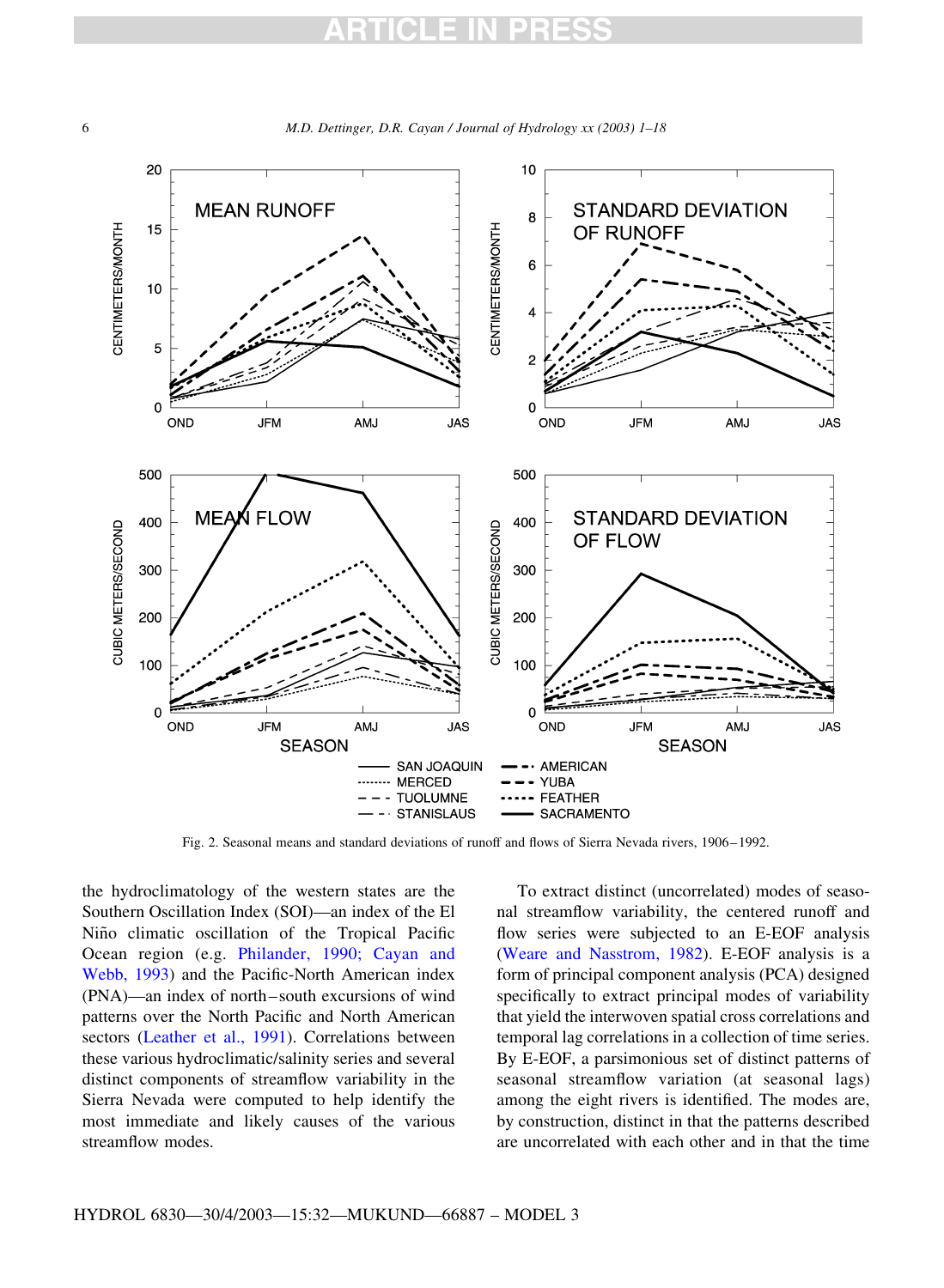<span id="page-5-0"></span>6 M.D. Dettinger, D.R. Cayan / Journal of Hydrology xx (2003) 1–18



Fig. 2. Seasonal means and standard deviations of runoff and flows of Sierra Nevada rivers, 1906–1992.

the hydroclimatology of the western states are the Southern Oscillation Index (SOI)—an index of the El Niño climatic oscillation of the Tropical Pacific Ocean region (e.g. [Philander, 1990; Cayan and](#page-17-0) [Webb, 1993\)](#page-17-0) and the Pacific-North American index (PNA)—an index of north–south excursions of wind patterns over the North Pacific and North American sectors ([Leather et al., 1991](#page-17-0)). Correlations between these various hydroclimatic/salinity series and several distinct components of streamflow variability in the Sierra Nevada were computed to help identify the most immediate and likely causes of the various streamflow modes.

To extract distinct (uncorrelated) modes of seasonal streamflow variability, the centered runoff and flow series were subjected to an E-EOF analysis ([Weare and Nasstrom, 1982](#page-17-0)). E-EOF analysis is a form of principal component analysis (PCA) designed specifically to extract principal modes of variability that yield the interwoven spatial cross correlations and temporal lag correlations in a collection of time series. By E-EOF, a parsimonious set of distinct patterns of seasonal streamflow variation (at seasonal lags) among the eight rivers is identified. The modes are, by construction, distinct in that the patterns described are uncorrelated with each other and in that the time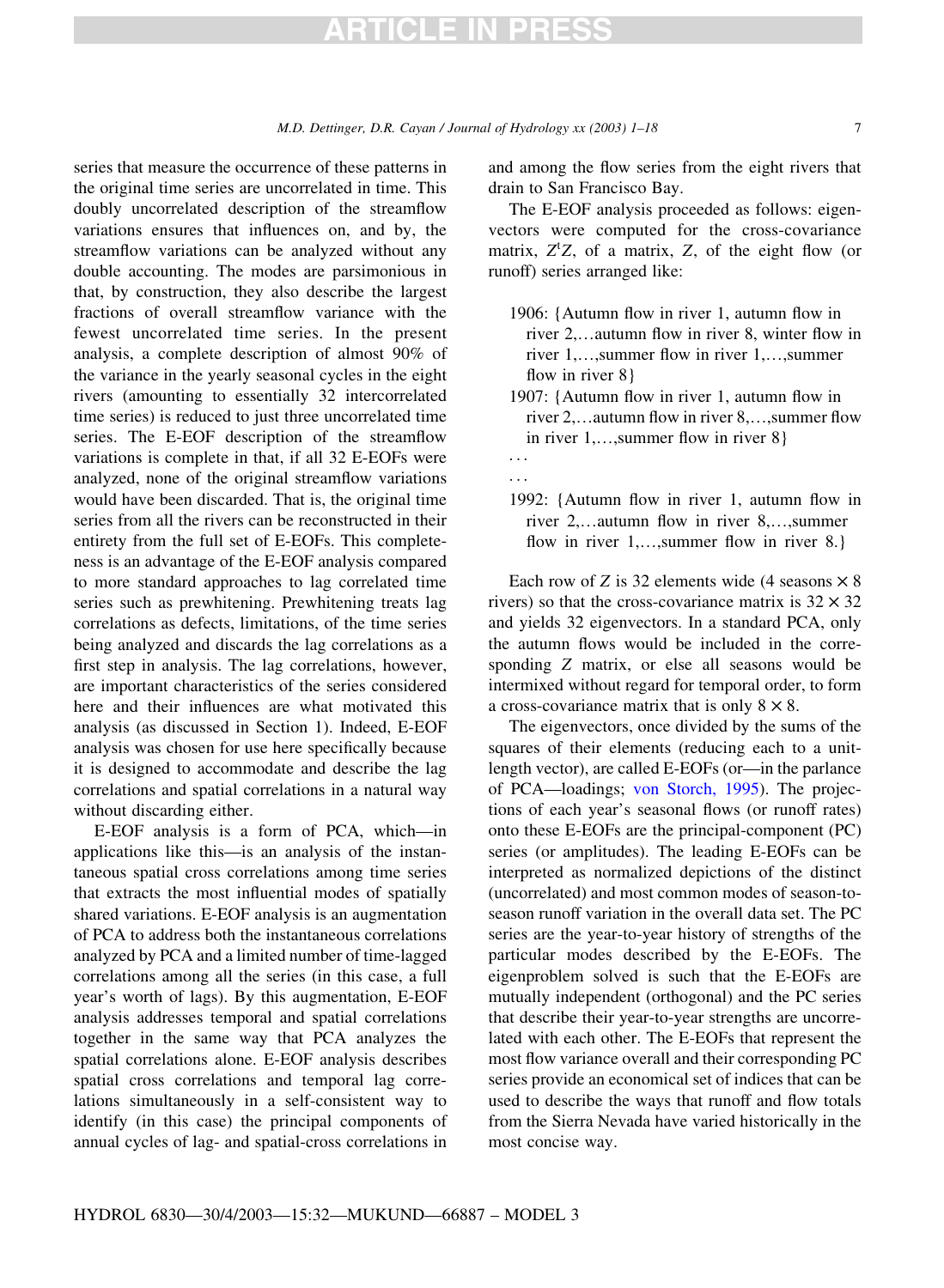### TICLE IN P

series that measure the occurrence of these patterns in the original time series are uncorrelated in time. This doubly uncorrelated description of the streamflow variations ensures that influences on, and by, the streamflow variations can be analyzed without any double accounting. The modes are parsimonious in that, by construction, they also describe the largest fractions of overall streamflow variance with the fewest uncorrelated time series. In the present analysis, a complete description of almost 90% of the variance in the yearly seasonal cycles in the eight rivers (amounting to essentially 32 intercorrelated time series) is reduced to just three uncorrelated time series. The E-EOF description of the streamflow variations is complete in that, if all 32 E-EOFs were analyzed, none of the original streamflow variations would have been discarded. That is, the original time series from all the rivers can be reconstructed in their entirety from the full set of E-EOFs. This completeness is an advantage of the E-EOF analysis compared to more standard approaches to lag correlated time series such as prewhitening. Prewhitening treats lag correlations as defects, limitations, of the time series being analyzed and discards the lag correlations as a first step in analysis. The lag correlations, however, are important characteristics of the series considered here and their influences are what motivated this analysis (as discussed in Section 1). Indeed, E-EOF analysis was chosen for use here specifically because it is designed to accommodate and describe the lag correlations and spatial correlations in a natural way without discarding either.

E-EOF analysis is a form of PCA, which—in applications like this—is an analysis of the instantaneous spatial cross correlations among time series that extracts the most influential modes of spatially shared variations. E-EOF analysis is an augmentation of PCA to address both the instantaneous correlations analyzed by PCA and a limited number of time-lagged correlations among all the series (in this case, a full year's worth of lags). By this augmentation, E-EOF analysis addresses temporal and spatial correlations together in the same way that PCA analyzes the spatial correlations alone. E-EOF analysis describes spatial cross correlations and temporal lag correlations simultaneously in a self-consistent way to identify (in this case) the principal components of annual cycles of lag- and spatial-cross correlations in and among the flow series from the eight rivers that drain to San Francisco Bay.

The E-EOF analysis proceeded as follows: eigenvectors were computed for the cross-covariance matrix,  $Z^tZ$ , of a matrix, Z, of the eight flow (or runoff) series arranged like:

- 1906: {Autumn flow in river 1, autumn flow in river 2,…autumn flow in river 8, winter flow in river 1,…,summer flow in river 1,…,summer flow in river 8}
- 1907: {Autumn flow in river 1, autumn flow in river 2,…autumn flow in river 8,…,summer flow in river 1,…,summer flow in river 8}
- ··· ···
- 1992: {Autumn flow in river 1, autumn flow in river 2,…autumn flow in river 8,…,summer flow in river 1,..., summer flow in river 8.

Each row of Z is 32 elements wide (4 seasons  $\times$  8 rivers) so that the cross-covariance matrix is  $32 \times 32$ and yields 32 eigenvectors. In a standard PCA, only the autumn flows would be included in the corresponding Z matrix, or else all seasons would be intermixed without regard for temporal order, to form a cross-covariance matrix that is only  $8 \times 8$ .

The eigenvectors, once divided by the sums of the squares of their elements (reducing each to a unitlength vector), are called E-EOFs (or—in the parlance of PCA—loadings; [von Storch, 1995\)](#page-17-0). The projections of each year's seasonal flows (or runoff rates) onto these E-EOFs are the principal-component (PC) series (or amplitudes). The leading E-EOFs can be interpreted as normalized depictions of the distinct (uncorrelated) and most common modes of season-toseason runoff variation in the overall data set. The PC series are the year-to-year history of strengths of the particular modes described by the E-EOFs. The eigenproblem solved is such that the E-EOFs are mutually independent (orthogonal) and the PC series that describe their year-to-year strengths are uncorrelated with each other. The E-EOFs that represent the most flow variance overall and their corresponding PC series provide an economical set of indices that can be used to describe the ways that runoff and flow totals from the Sierra Nevada have varied historically in the most concise way.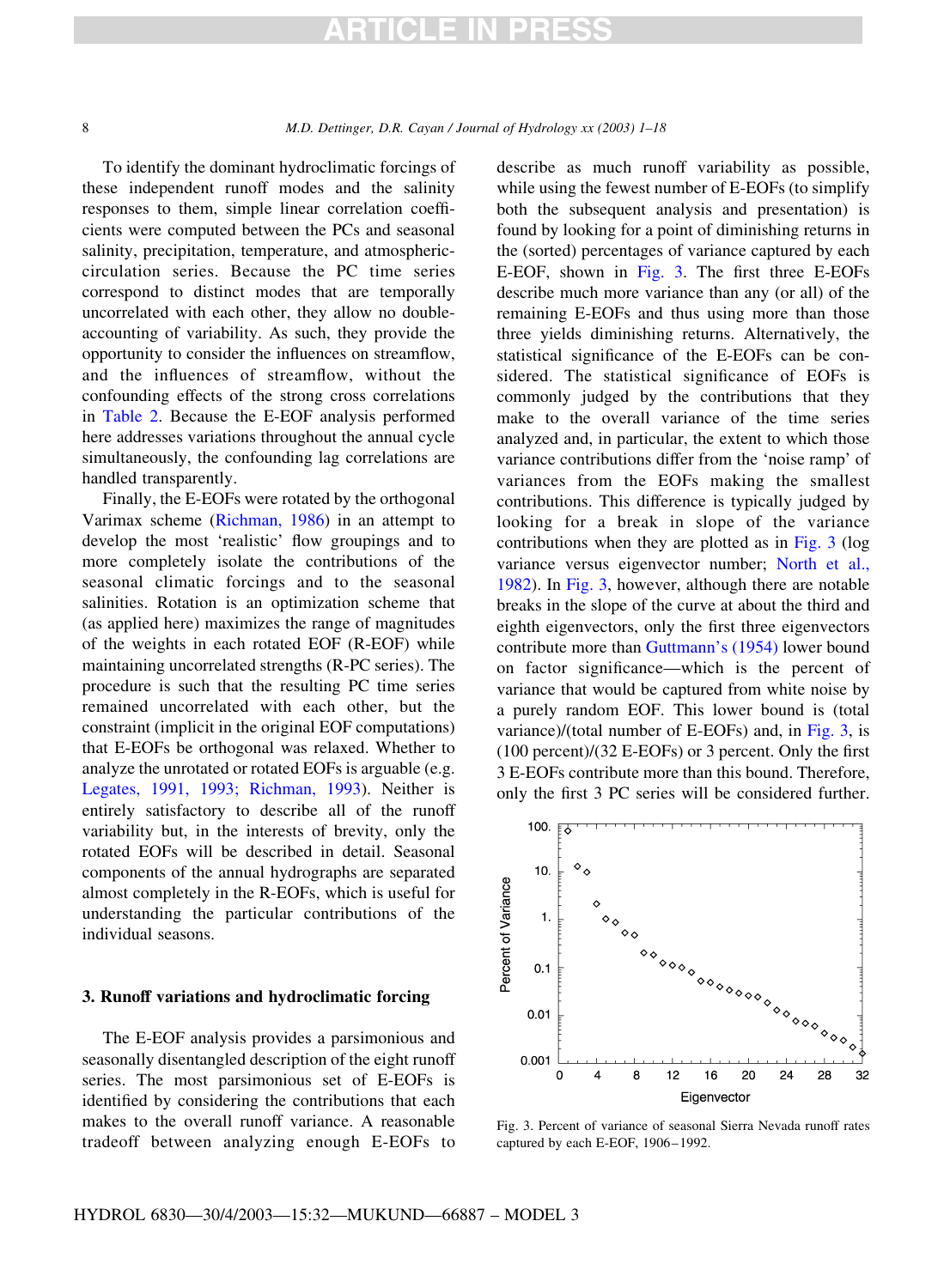8 M.D. Dettinger, D.R. Cayan / Journal of Hydrology xx (2003) 1–18

To identify the dominant hydroclimatic forcings of these independent runoff modes and the salinity responses to them, simple linear correlation coefficients were computed between the PCs and seasonal salinity, precipitation, temperature, and atmosphericcirculation series. Because the PC time series correspond to distinct modes that are temporally uncorrelated with each other, they allow no doubleaccounting of variability. As such, they provide the opportunity to consider the influences on streamflow, and the influences of streamflow, without the confounding effects of the strong cross correlations in [Table 2](#page-2-0). Because the E-EOF analysis performed here addresses variations throughout the annual cycle simultaneously, the confounding lag correlations are handled transparently.

Finally, the E-EOFs were rotated by the orthogonal Varimax scheme [\(Richman, 1986](#page-17-0)) in an attempt to develop the most 'realistic' flow groupings and to more completely isolate the contributions of the seasonal climatic forcings and to the seasonal salinities. Rotation is an optimization scheme that (as applied here) maximizes the range of magnitudes of the weights in each rotated EOF (R-EOF) while maintaining uncorrelated strengths (R-PC series). The procedure is such that the resulting PC time series remained uncorrelated with each other, but the constraint (implicit in the original EOF computations) that E-EOFs be orthogonal was relaxed. Whether to analyze the unrotated or rotated EOFs is arguable (e.g. [Legates, 1991, 1993; Richman, 1993](#page-17-0)). Neither is entirely satisfactory to describe all of the runoff variability but, in the interests of brevity, only the rotated EOFs will be described in detail. Seasonal components of the annual hydrographs are separated almost completely in the R-EOFs, which is useful for understanding the particular contributions of the individual seasons.

#### 3. Runoff variations and hydroclimatic forcing

The E-EOF analysis provides a parsimonious and seasonally disentangled description of the eight runoff series. The most parsimonious set of E-EOFs is identified by considering the contributions that each makes to the overall runoff variance. A reasonable tradeoff between analyzing enough E-EOFs to describe as much runoff variability as possible, while using the fewest number of E-EOFs (to simplify both the subsequent analysis and presentation) is found by looking for a point of diminishing returns in the (sorted) percentages of variance captured by each E-EOF, shown in Fig. 3. The first three E-EOFs describe much more variance than any (or all) of the remaining E-EOFs and thus using more than those three yields diminishing returns. Alternatively, the statistical significance of the E-EOFs can be considered. The statistical significance of EOFs is commonly judged by the contributions that they make to the overall variance of the time series analyzed and, in particular, the extent to which those variance contributions differ from the 'noise ramp' of variances from the EOFs making the smallest contributions. This difference is typically judged by looking for a break in slope of the variance contributions when they are plotted as in Fig. 3 (log variance versus eigenvector number; [North et al.,](#page-17-0) [1982](#page-17-0)). In Fig. 3, however, although there are notable breaks in the slope of the curve at about the third and eighth eigenvectors, only the first three eigenvectors contribute more than [Guttmann's \(1954\)](#page-16-0) lower bound on factor significance—which is the percent of variance that would be captured from white noise by a purely random EOF. This lower bound is (total variance)/(total number of E-EOFs) and, in Fig. 3, is (100 percent)/(32 E-EOFs) or 3 percent. Only the first 3 E-EOFs contribute more than this bound. Therefore, only the first 3 PC series will be considered further.



Fig. 3. Percent of variance of seasonal Sierra Nevada runoff rates captured by each E-EOF, 1906–1992.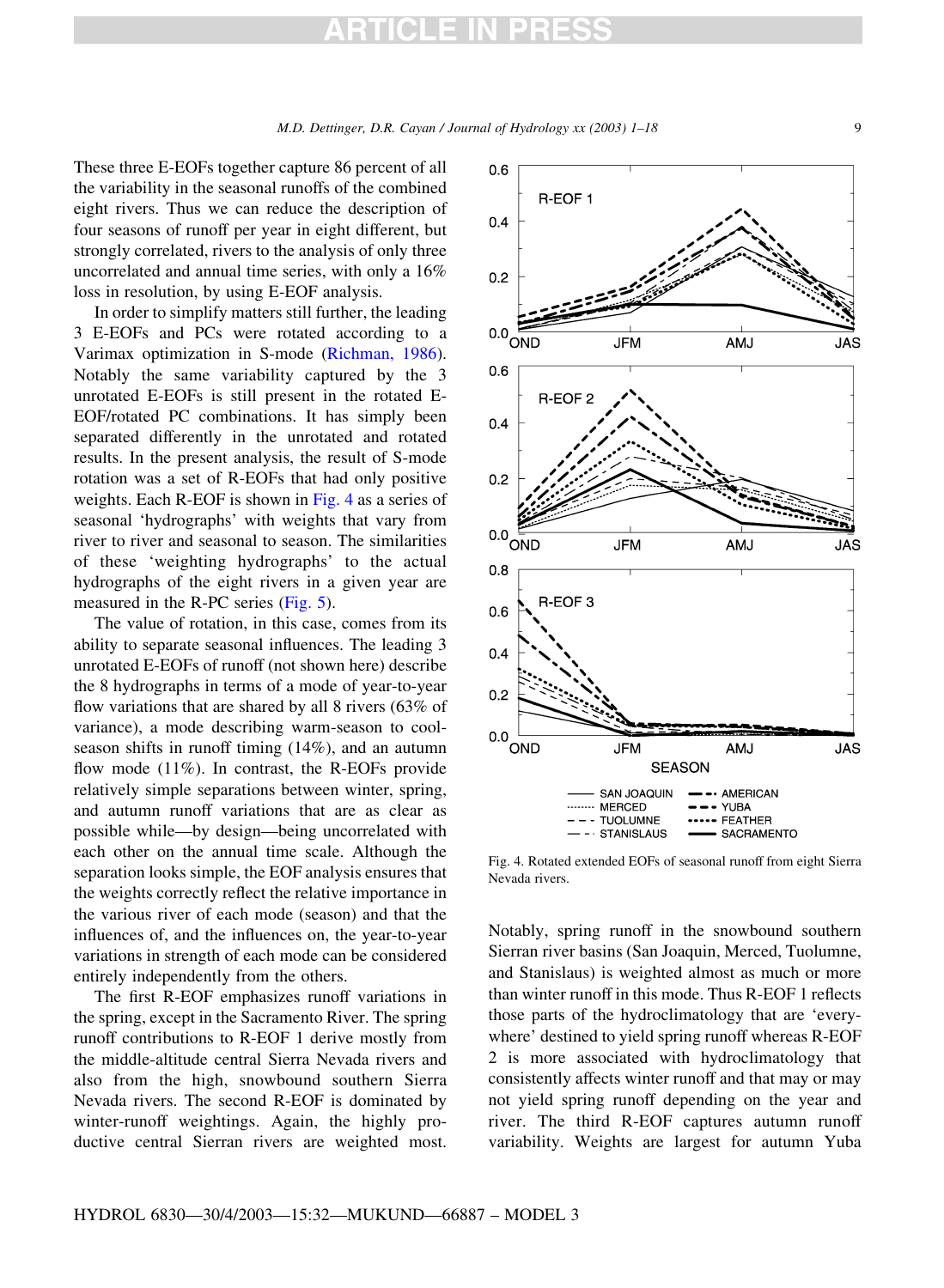<span id="page-8-0"></span>These three E-EOFs together capture 86 percent of all the variability in the seasonal runoffs of the combined eight rivers. Thus we can reduce the description of four seasons of runoff per year in eight different, but strongly correlated, rivers to the analysis of only three uncorrelated and annual time series, with only a 16% loss in resolution, by using E-EOF analysis.

In order to simplify matters still further, the leading 3 E-EOFs and PCs were rotated according to a Varimax optimization in S-mode ([Richman, 1986\)](#page-17-0). Notably the same variability captured by the 3 unrotated E-EOFs is still present in the rotated E-EOF/rotated PC combinations. It has simply been separated differently in the unrotated and rotated results. In the present analysis, the result of S-mode rotation was a set of R-EOFs that had only positive weights. Each R-EOF is shown in Fig. 4 as a series of seasonal 'hydrographs' with weights that vary from river to river and seasonal to season. The similarities of these 'weighting hydrographs' to the actual hydrographs of the eight rivers in a given year are measured in the R-PC series [\(Fig. 5\)](#page-9-0).

The value of rotation, in this case, comes from its ability to separate seasonal influences. The leading 3 unrotated E-EOFs of runoff (not shown here) describe the 8 hydrographs in terms of a mode of year-to-year flow variations that are shared by all 8 rivers (63% of variance), a mode describing warm-season to coolseason shifts in runoff timing (14%), and an autumn flow mode (11%). In contrast, the R-EOFs provide relatively simple separations between winter, spring, and autumn runoff variations that are as clear as possible while—by design—being uncorrelated with each other on the annual time scale. Although the separation looks simple, the EOF analysis ensures that the weights correctly reflect the relative importance in the various river of each mode (season) and that the influences of, and the influences on, the year-to-year variations in strength of each mode can be considered entirely independently from the others.

The first R-EOF emphasizes runoff variations in the spring, except in the Sacramento River. The spring runoff contributions to R-EOF 1 derive mostly from the middle-altitude central Sierra Nevada rivers and also from the high, snowbound southern Sierra Nevada rivers. The second R-EOF is dominated by winter-runoff weightings. Again, the highly productive central Sierran rivers are weighted most.



Fig. 4. Rotated extended EOFs of seasonal runoff from eight Sierra Nevada rivers.

Notably, spring runoff in the snowbound southern Sierran river basins (San Joaquin, Merced, Tuolumne, and Stanislaus) is weighted almost as much or more than winter runoff in this mode. Thus R-EOF 1 reflects those parts of the hydroclimatology that are 'everywhere' destined to yield spring runoff whereas R-EOF 2 is more associated with hydroclimatology that consistently affects winter runoff and that may or may not yield spring runoff depending on the year and river. The third R-EOF captures autumn runoff variability. Weights are largest for autumn Yuba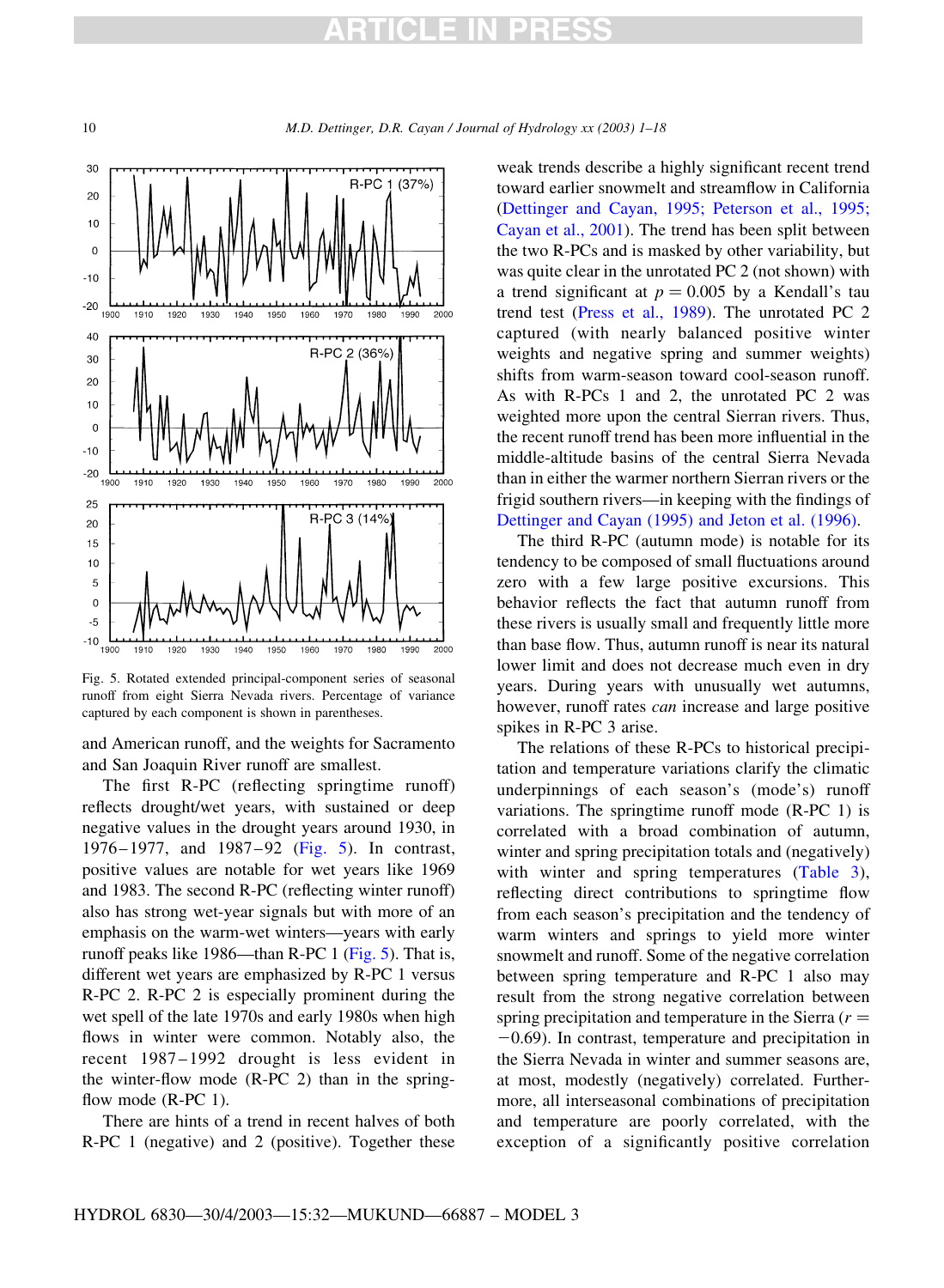<span id="page-9-0"></span>10 M.D. Dettinger, D.R. Cayan / Journal of Hydrology xx (2003) 1–18

Fig. 5. Rotated extended principal-component series of seasonal runoff from eight Sierra Nevada rivers. Percentage of variance captured by each component is shown in parentheses.

and American runoff, and the weights for Sacramento and San Joaquin River runoff are smallest.

The first R-PC (reflecting springtime runoff) reflects drought/wet years, with sustained or deep negative values in the drought years around 1930, in 1976–1977, and 1987–92 (Fig. 5). In contrast, positive values are notable for wet years like 1969 and 1983. The second R-PC (reflecting winter runoff) also has strong wet-year signals but with more of an emphasis on the warm-wet winters—years with early runoff peaks like 1986—than R-PC 1 (Fig. 5). That is, different wet years are emphasized by R-PC 1 versus R-PC 2. R-PC 2 is especially prominent during the wet spell of the late 1970s and early 1980s when high flows in winter were common. Notably also, the recent 1987–1992 drought is less evident in the winter-flow mode (R-PC 2) than in the springflow mode (R-PC 1).

There are hints of a trend in recent halves of both R-PC 1 (negative) and 2 (positive). Together these weak trends describe a highly significant recent trend toward earlier snowmelt and streamflow in California ([Dettinger and Cayan, 1995; Peterson et al., 1995;](#page-16-0) [Cayan et al., 2001\)](#page-16-0). The trend has been split between the two R-PCs and is masked by other variability, but was quite clear in the unrotated PC 2 (not shown) with a trend significant at  $p = 0.005$  by a Kendall's tau trend test [\(Press et al., 1989](#page-17-0)). The unrotated PC 2 captured (with nearly balanced positive winter weights and negative spring and summer weights) shifts from warm-season toward cool-season runoff. As with R-PCs 1 and 2, the unrotated PC 2 was weighted more upon the central Sierran rivers. Thus, the recent runoff trend has been more influential in the middle-altitude basins of the central Sierra Nevada than in either the warmer northern Sierran rivers or the frigid southern rivers—in keeping with the findings of [Dettinger and Cayan \(1995\) and Jeton et al. \(1996\)](#page-16-0).

The third R-PC (autumn mode) is notable for its tendency to be composed of small fluctuations around zero with a few large positive excursions. This behavior reflects the fact that autumn runoff from these rivers is usually small and frequently little more than base flow. Thus, autumn runoff is near its natural lower limit and does not decrease much even in dry years. During years with unusually wet autumns, however, runoff rates *can* increase and large positive spikes in R-PC 3 arise.

The relations of these R-PCs to historical precipitation and temperature variations clarify the climatic underpinnings of each season's (mode's) runoff variations. The springtime runoff mode (R-PC 1) is correlated with a broad combination of autumn, winter and spring precipitation totals and (negatively) with winter and spring temperatures ([Table 3\)](#page-10-0), reflecting direct contributions to springtime flow from each season's precipitation and the tendency of warm winters and springs to yield more winter snowmelt and runoff. Some of the negative correlation between spring temperature and R-PC 1 also may result from the strong negative correlation between spring precipitation and temperature in the Sierra  $(r =$  $-0.69$ ). In contrast, temperature and precipitation in the Sierra Nevada in winter and summer seasons are, at most, modestly (negatively) correlated. Furthermore, all interseasonal combinations of precipitation and temperature are poorly correlated, with the exception of a significantly positive correlation

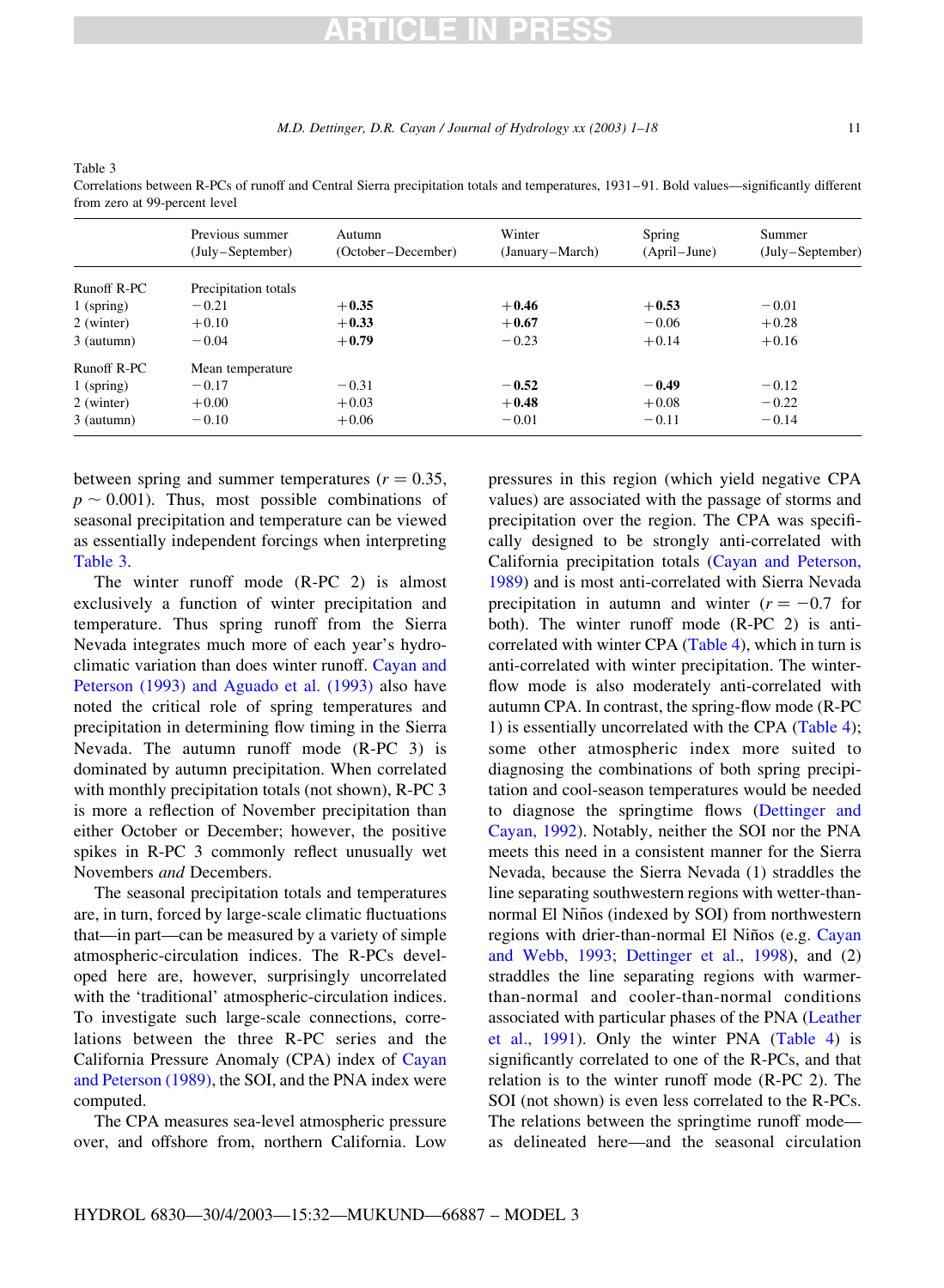M.D. Dettinger, D.R. Cayan / Journal of Hydrology xx (2003) 1–18 11

<span id="page-10-0"></span>Table 3

Correlations between R-PCs of runoff and Central Sierra precipitation totals and temperatures, 1931–91. Bold values—significantly different from zero at 99-percent level

|              | Previous summer<br>(July–September) | Autumn<br>(October–December) | Winter<br>(January–March) | Spring<br>$(April-June)$ | Summer<br>(July–September) |
|--------------|-------------------------------------|------------------------------|---------------------------|--------------------------|----------------------------|
| Runoff R-PC  | Precipitation totals                |                              |                           |                          |                            |
| $1$ (spring) | $-0.21$                             | $+0.35$                      | $+0.46$                   | $+0.53$                  | $-0.01$                    |
| 2 (winter)   | $+0.10$                             | $+0.33$                      | $+0.67$                   | $-0.06$                  | $+0.28$                    |
| 3 (autumn)   | $-0.04$                             | $+0.79$                      | $-0.23$                   | $+0.14$                  | $+0.16$                    |
| Runoff R-PC  | Mean temperature                    |                              |                           |                          |                            |
| $1$ (spring) | $-0.17$                             | $-0.31$                      | $-0.52$                   | $-0.49$                  | $-0.12$                    |
| 2 (winter)   | $+0.00$                             | $+0.03$                      | $+0.48$                   | $+0.08$                  | $-0.22$                    |
| 3 (autumn)   | $-0.10$                             | $+0.06$                      | $-0.01$                   | $-0.11$                  | $-0.14$                    |

between spring and summer temperatures ( $r = 0.35$ ,  $p \sim 0.001$ ). Thus, most possible combinations of seasonal precipitation and temperature can be viewed as essentially independent forcings when interpreting Table 3.

The winter runoff mode (R-PC 2) is almost exclusively a function of winter precipitation and temperature. Thus spring runoff from the Sierra Nevada integrates much more of each year's hydroclimatic variation than does winter runoff. [Cayan and](#page-16-0) [Peterson \(1993\) and Aguado et al. \(1993\)](#page-16-0) also have noted the critical role of spring temperatures and precipitation in determining flow timing in the Sierra Nevada. The autumn runoff mode (R-PC 3) is dominated by autumn precipitation. When correlated with monthly precipitation totals (not shown), R-PC 3 is more a reflection of November precipitation than either October or December; however, the positive spikes in R-PC 3 commonly reflect unusually wet Novembers and Decembers.

The seasonal precipitation totals and temperatures are, in turn, forced by large-scale climatic fluctuations that—in part—can be measured by a variety of simple atmospheric-circulation indices. The R-PCs developed here are, however, surprisingly uncorrelated with the 'traditional' atmospheric-circulation indices. To investigate such large-scale connections, correlations between the three R-PC series and the California Pressure Anomaly (CPA) index of [Cayan](#page-16-0) [and Peterson \(1989\)](#page-16-0), the SOI, and the PNA index were computed.

The CPA measures sea-level atmospheric pressure over, and offshore from, northern California. Low

pressures in this region (which yield negative CPA values) are associated with the passage of storms and precipitation over the region. The CPA was specifically designed to be strongly anti-correlated with California precipitation totals [\(Cayan and Peterson,](#page-16-0) [1989\)](#page-16-0) and is most anti-correlated with Sierra Nevada precipitation in autumn and winter  $(r = -0.7$  for both). The winter runoff mode (R-PC 2) is anticorrelated with winter CPA ([Table 4\)](#page-11-0), which in turn is anti-correlated with winter precipitation. The winterflow mode is also moderately anti-correlated with autumn CPA. In contrast, the spring-flow mode (R-PC 1) is essentially uncorrelated with the CPA [\(Table 4\)](#page-11-0); some other atmospheric index more suited to diagnosing the combinations of both spring precipitation and cool-season temperatures would be needed to diagnose the springtime flows ([Dettinger and](#page-16-0) [Cayan, 1992\)](#page-16-0). Notably, neither the SOI nor the PNA meets this need in a consistent manner for the Sierra Nevada, because the Sierra Nevada (1) straddles the line separating southwestern regions with wetter-thannormal El Niños (indexed by SOI) from northwestern regions with drier-than-normal El Niños (e.g. [Cayan](#page-16-0) [and Webb, 1993; Dettinger et al., 1998](#page-16-0)), and (2) straddles the line separating regions with warmerthan-normal and cooler-than-normal conditions associated with particular phases of the PNA [\(Leather](#page-17-0) [et al., 1991](#page-17-0)). Only the winter PNA ([Table 4](#page-11-0)) is significantly correlated to one of the R-PCs, and that relation is to the winter runoff mode (R-PC 2). The SOI (not shown) is even less correlated to the R-PCs. The relations between the springtime runoff mode as delineated here—and the seasonal circulation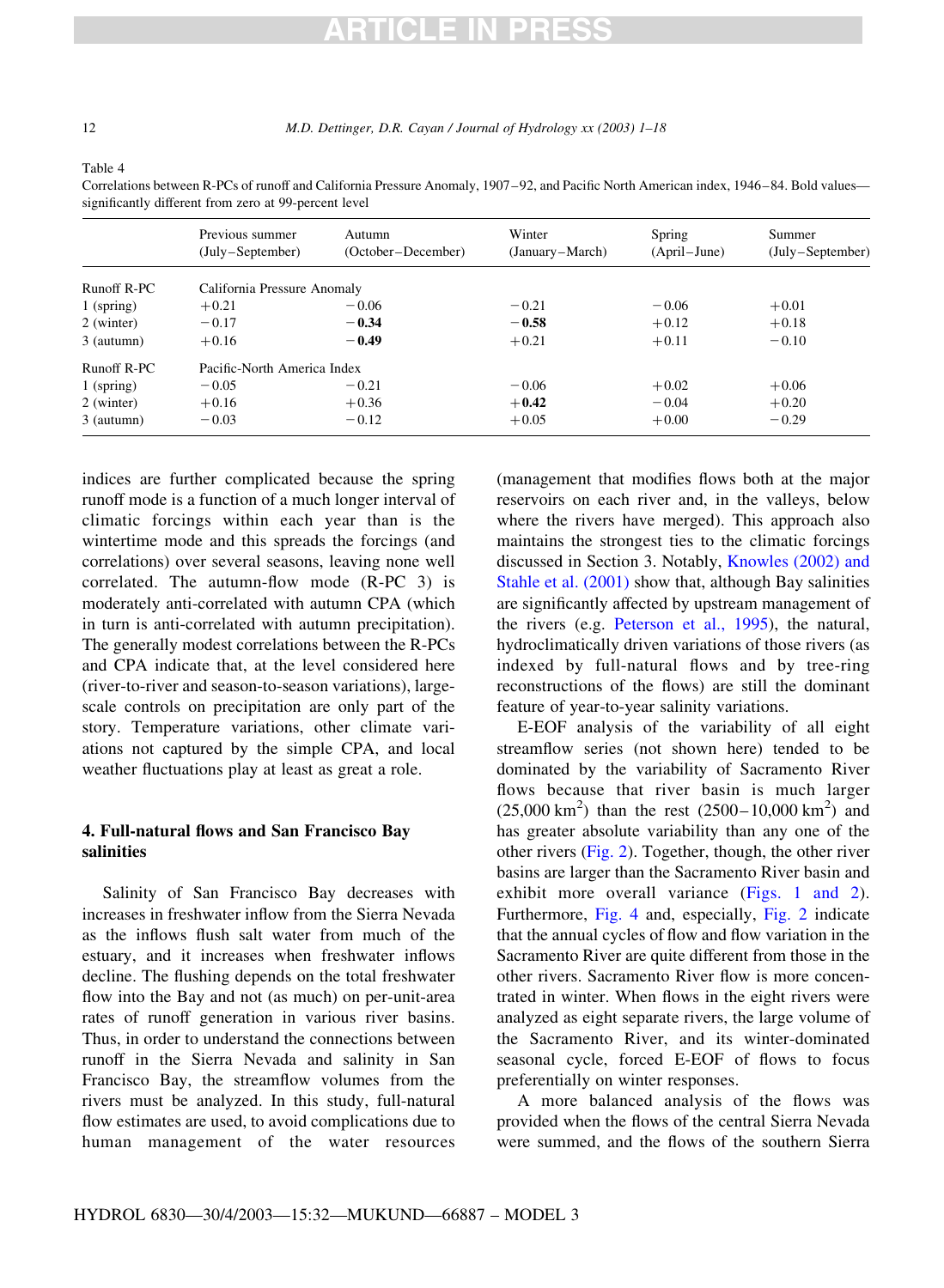<span id="page-11-0"></span>12 M.D. Dettinger, D.R. Cayan / Journal of Hydrology xx (2003) 1–18

| significantly unicidit from zero at 33-percent fever |                                     |                              |                           |                        |                            |  |  |
|------------------------------------------------------|-------------------------------------|------------------------------|---------------------------|------------------------|----------------------------|--|--|
|                                                      | Previous summer<br>(July–September) | Autumn<br>(October–December) | Winter<br>(January–March) | Spring<br>(April–June) | Summer<br>(July–September) |  |  |
| Runoff R-PC                                          | California Pressure Anomaly         |                              |                           |                        |                            |  |  |
| $1$ (spring)                                         | $+0.21$                             | $-0.06$                      | $-0.21$                   | $-0.06$                | $+0.01$                    |  |  |
| 2 (winter)                                           | $-0.17$                             | $-0.34$                      | $-0.58$                   | $+0.12$                | $+0.18$                    |  |  |
| 3 (autumn)                                           | $+0.16$                             | $-0.49$                      | $+0.21$                   | $+0.11$                | $-0.10$                    |  |  |
| Runoff R-PC                                          | Pacific-North America Index         |                              |                           |                        |                            |  |  |
| $1$ (spring)                                         | $-0.05$                             | $-0.21$                      | $-0.06$                   | $+0.02$                | $+0.06$                    |  |  |
| 2 (winter)                                           | $+0.16$                             | $+0.36$                      | $+0.42$                   | $-0.04$                | $+0.20$                    |  |  |
| 3 (autumn)                                           | $-0.03$                             | $-0.12$                      | $+0.05$                   | $+0.00$                | $-0.29$                    |  |  |

Correlations between R-PCs of runoff and California Pressure Anomaly, 1907–92, and Pacific North American index, 1946–84. Bold values  $s_{i}$  and  $f_{i}$  containt different from zero at  $99-$ 

indices are further complicated because the spring runoff mode is a function of a much longer interval of climatic forcings within each year than is the wintertime mode and this spreads the forcings (and correlations) over several seasons, leaving none well correlated. The autumn-flow mode (R-PC 3) is moderately anti-correlated with autumn CPA (which in turn is anti-correlated with autumn precipitation). The generally modest correlations between the R-PCs and CPA indicate that, at the level considered here (river-to-river and season-to-season variations), largescale controls on precipitation are only part of the story. Temperature variations, other climate variations not captured by the simple CPA, and local weather fluctuations play at least as great a role.

#### 4. Full-natural flows and San Francisco Bay salinities

Salinity of San Francisco Bay decreases with increases in freshwater inflow from the Sierra Nevada as the inflows flush salt water from much of the estuary, and it increases when freshwater inflows decline. The flushing depends on the total freshwater flow into the Bay and not (as much) on per-unit-area rates of runoff generation in various river basins. Thus, in order to understand the connections between runoff in the Sierra Nevada and salinity in San Francisco Bay, the streamflow volumes from the rivers must be analyzed. In this study, full-natural flow estimates are used, to avoid complications due to human management of the water resources (management that modifies flows both at the major reservoirs on each river and, in the valleys, below where the rivers have merged). This approach also maintains the strongest ties to the climatic forcings discussed in Section 3. Notably, [Knowles \(2002\) and](#page-17-0) [Stahle et al. \(2001\)](#page-17-0) show that, although Bay salinities are significantly affected by upstream management of the rivers (e.g. [Peterson et al., 1995](#page-17-0)), the natural, hydroclimatically driven variations of those rivers (as indexed by full-natural flows and by tree-ring reconstructions of the flows) are still the dominant feature of year-to-year salinity variations.

E-EOF analysis of the variability of all eight streamflow series (not shown here) tended to be dominated by the variability of Sacramento River flows because that river basin is much larger  $(25,000 \text{ km}^2)$  than the rest  $(2500-10,000 \text{ km}^2)$  and has greater absolute variability than any one of the other rivers [\(Fig. 2\)](#page-5-0). Together, though, the other river basins are larger than the Sacramento River basin and exhibit more overall variance [\(Figs. 1 and 2\)](#page-1-0). Furthermore, [Fig. 4](#page-8-0) and, especially, [Fig. 2](#page-5-0) indicate that the annual cycles of flow and flow variation in the Sacramento River are quite different from those in the other rivers. Sacramento River flow is more concentrated in winter. When flows in the eight rivers were analyzed as eight separate rivers, the large volume of the Sacramento River, and its winter-dominated seasonal cycle, forced E-EOF of flows to focus preferentially on winter responses.

A more balanced analysis of the flows was provided when the flows of the central Sierra Nevada were summed, and the flows of the southern Sierra

Table 4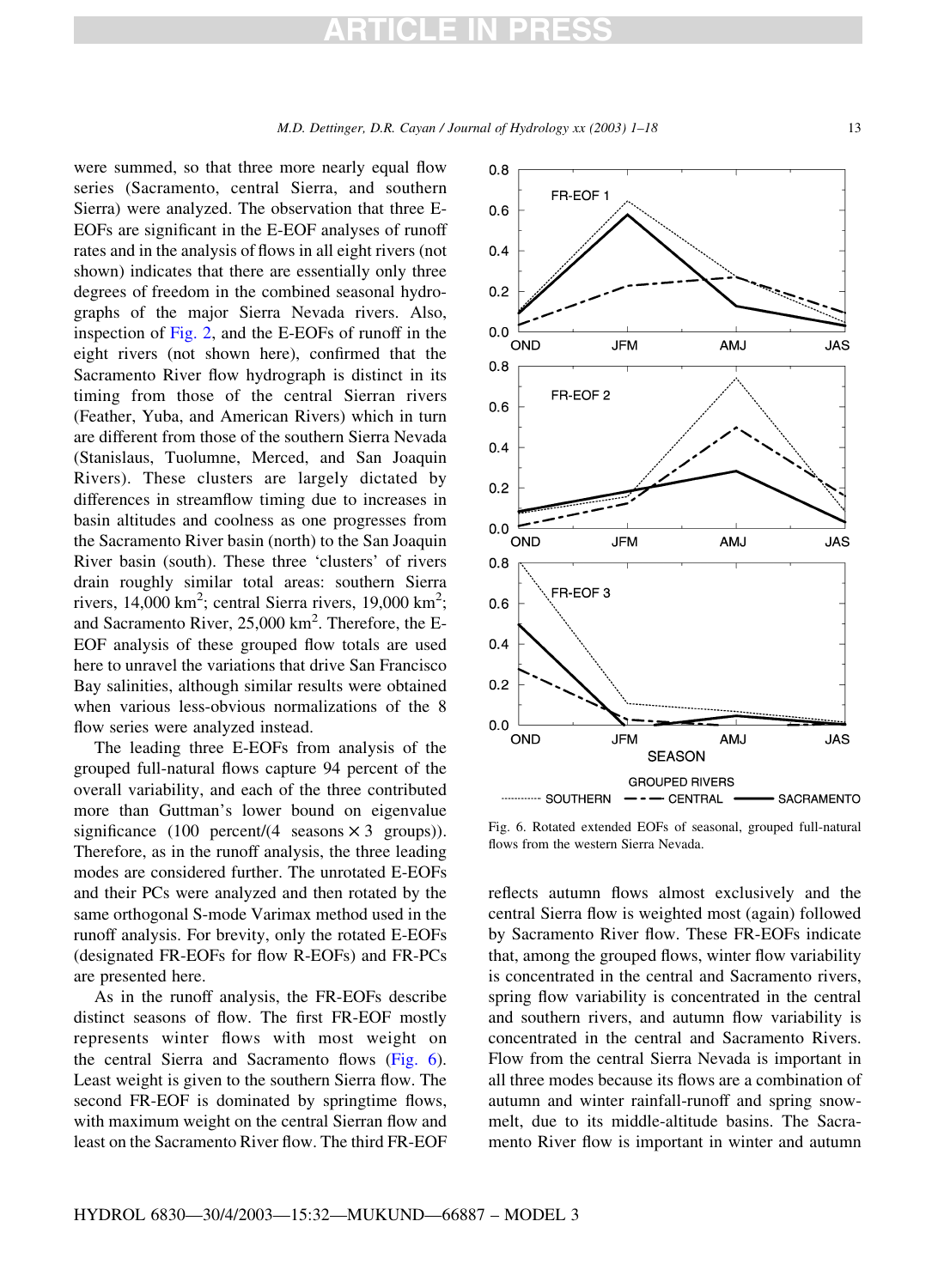<span id="page-12-0"></span>were summed, so that three more nearly equal flow series (Sacramento, central Sierra, and southern Sierra) were analyzed. The observation that three E-EOFs are significant in the E-EOF analyses of runoff rates and in the analysis of flows in all eight rivers (not shown) indicates that there are essentially only three degrees of freedom in the combined seasonal hydrographs of the major Sierra Nevada rivers. Also, inspection of [Fig. 2](#page-5-0), and the E-EOFs of runoff in the eight rivers (not shown here), confirmed that the Sacramento River flow hydrograph is distinct in its timing from those of the central Sierran rivers (Feather, Yuba, and American Rivers) which in turn are different from those of the southern Sierra Nevada (Stanislaus, Tuolumne, Merced, and San Joaquin Rivers). These clusters are largely dictated by differences in streamflow timing due to increases in basin altitudes and coolness as one progresses from the Sacramento River basin (north) to the San Joaquin River basin (south). These three 'clusters' of rivers drain roughly similar total areas: southern Sierra rivers, 14,000 km<sup>2</sup>; central Sierra rivers, 19,000 km<sup>2</sup>; and Sacramento River, 25,000 km<sup>2</sup>. Therefore, the E-EOF analysis of these grouped flow totals are used here to unravel the variations that drive San Francisco Bay salinities, although similar results were obtained when various less-obvious normalizations of the 8 flow series were analyzed instead.

The leading three E-EOFs from analysis of the grouped full-natural flows capture 94 percent of the overall variability, and each of the three contributed more than Guttman's lower bound on eigenvalue significance (100 percent/(4 seasons  $\times$  3 groups)). Therefore, as in the runoff analysis, the three leading modes are considered further. The unrotated E-EOFs and their PCs were analyzed and then rotated by the same orthogonal S-mode Varimax method used in the runoff analysis. For brevity, only the rotated E-EOFs (designated FR-EOFs for flow R-EOFs) and FR-PCs are presented here.

As in the runoff analysis, the FR-EOFs describe distinct seasons of flow. The first FR-EOF mostly represents winter flows with most weight on the central Sierra and Sacramento flows (Fig. 6). Least weight is given to the southern Sierra flow. The second FR-EOF is dominated by springtime flows, with maximum weight on the central Sierran flow and least on the Sacramento River flow. The third FR-EOF



Fig. 6. Rotated extended EOFs of seasonal, grouped full-natural flows from the western Sierra Nevada.

reflects autumn flows almost exclusively and the central Sierra flow is weighted most (again) followed by Sacramento River flow. These FR-EOFs indicate that, among the grouped flows, winter flow variability is concentrated in the central and Sacramento rivers, spring flow variability is concentrated in the central and southern rivers, and autumn flow variability is concentrated in the central and Sacramento Rivers. Flow from the central Sierra Nevada is important in all three modes because its flows are a combination of autumn and winter rainfall-runoff and spring snowmelt, due to its middle-altitude basins. The Sacramento River flow is important in winter and autumn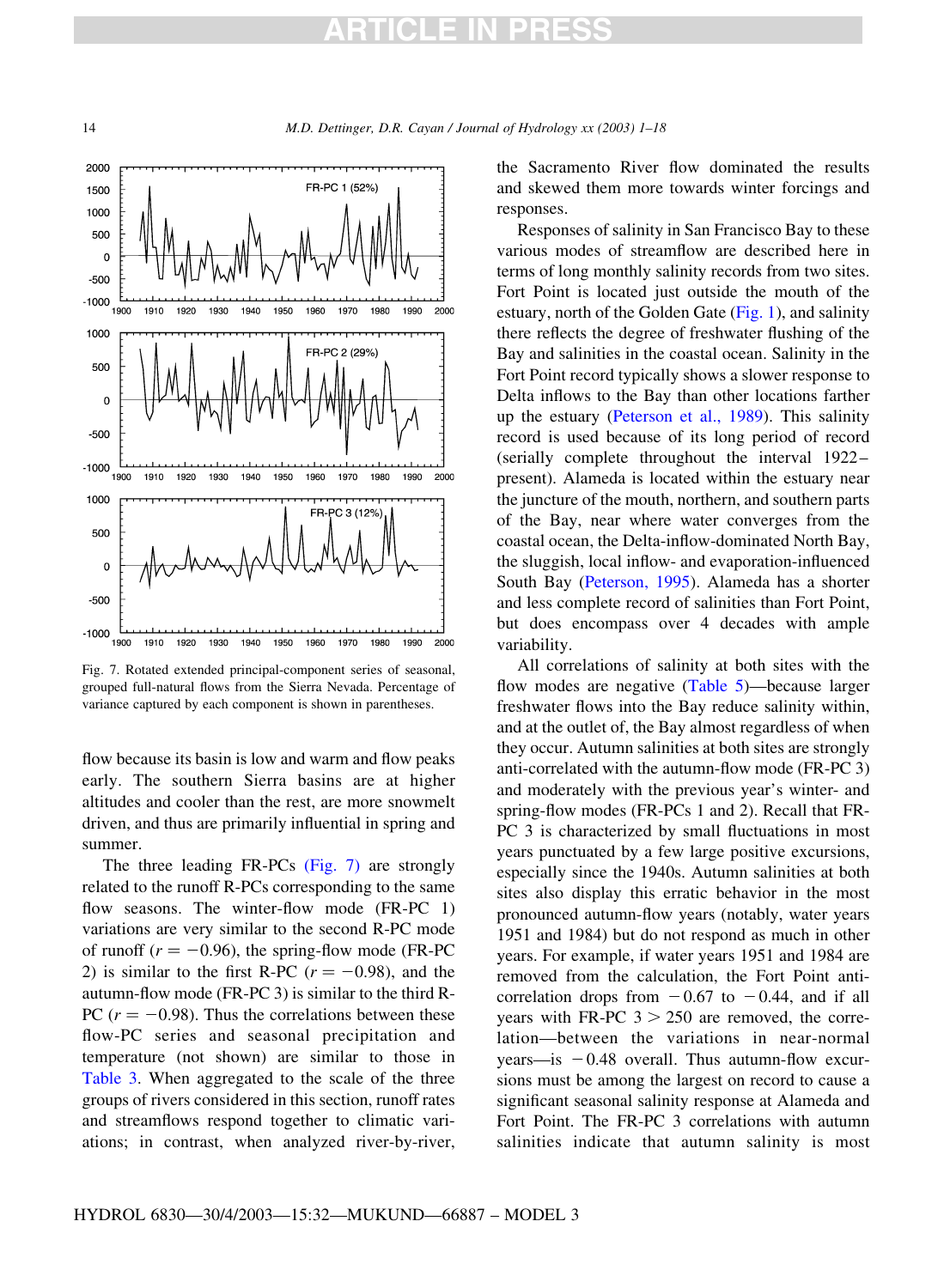14 M.D. Dettinger, D.R. Cayan / Journal of Hydrology xx (2003) 1–18

Fig. 7. Rotated extended principal-component series of seasonal, grouped full-natural flows from the Sierra Nevada. Percentage of variance captured by each component is shown in parentheses.

flow because its basin is low and warm and flow peaks early. The southern Sierra basins are at higher altitudes and cooler than the rest, are more snowmelt driven, and thus are primarily influential in spring and summer.

The three leading FR-PCs (Fig. 7) are strongly related to the runoff R-PCs corresponding to the same flow seasons. The winter-flow mode (FR-PC 1) variations are very similar to the second R-PC mode of runoff ( $r = -0.96$ ), the spring-flow mode (FR-PC 2) is similar to the first R-PC  $(r = -0.98)$ , and the autumn-flow mode (FR-PC 3) is similar to the third R-PC ( $r = -0.98$ ). Thus the correlations between these flow-PC series and seasonal precipitation and temperature (not shown) are similar to those in [Table 3](#page-10-0). When aggregated to the scale of the three groups of rivers considered in this section, runoff rates and streamflows respond together to climatic variations; in contrast, when analyzed river-by-river,

the Sacramento River flow dominated the results and skewed them more towards winter forcings and responses.

Responses of salinity in San Francisco Bay to these various modes of streamflow are described here in terms of long monthly salinity records from two sites. Fort Point is located just outside the mouth of the estuary, north of the Golden Gate [\(Fig. 1](#page-1-0)), and salinity there reflects the degree of freshwater flushing of the Bay and salinities in the coastal ocean. Salinity in the Fort Point record typically shows a slower response to Delta inflows to the Bay than other locations farther up the estuary ([Peterson et al., 1989](#page-17-0)). This salinity record is used because of its long period of record (serially complete throughout the interval 1922– present). Alameda is located within the estuary near the juncture of the mouth, northern, and southern parts of the Bay, near where water converges from the coastal ocean, the Delta-inflow-dominated North Bay, the sluggish, local inflow- and evaporation-influenced South Bay [\(Peterson, 1995](#page-17-0)). Alameda has a shorter and less complete record of salinities than Fort Point, but does encompass over 4 decades with ample variability.

All correlations of salinity at both sites with the flow modes are negative ([Table 5\)](#page-14-0)—because larger freshwater flows into the Bay reduce salinity within, and at the outlet of, the Bay almost regardless of when they occur. Autumn salinities at both sites are strongly anti-correlated with the autumn-flow mode (FR-PC 3) and moderately with the previous year's winter- and spring-flow modes (FR-PCs 1 and 2). Recall that FR-PC 3 is characterized by small fluctuations in most years punctuated by a few large positive excursions, especially since the 1940s. Autumn salinities at both sites also display this erratic behavior in the most pronounced autumn-flow years (notably, water years 1951 and 1984) but do not respond as much in other years. For example, if water years 1951 and 1984 are removed from the calculation, the Fort Point anticorrelation drops from  $-0.67$  to  $-0.44$ , and if all years with FR-PC  $3 > 250$  are removed, the correlation—between the variations in near-normal years—is  $-0.48$  overall. Thus autumn-flow excursions must be among the largest on record to cause a significant seasonal salinity response at Alameda and Fort Point. The FR-PC 3 correlations with autumn salinities indicate that autumn salinity is most

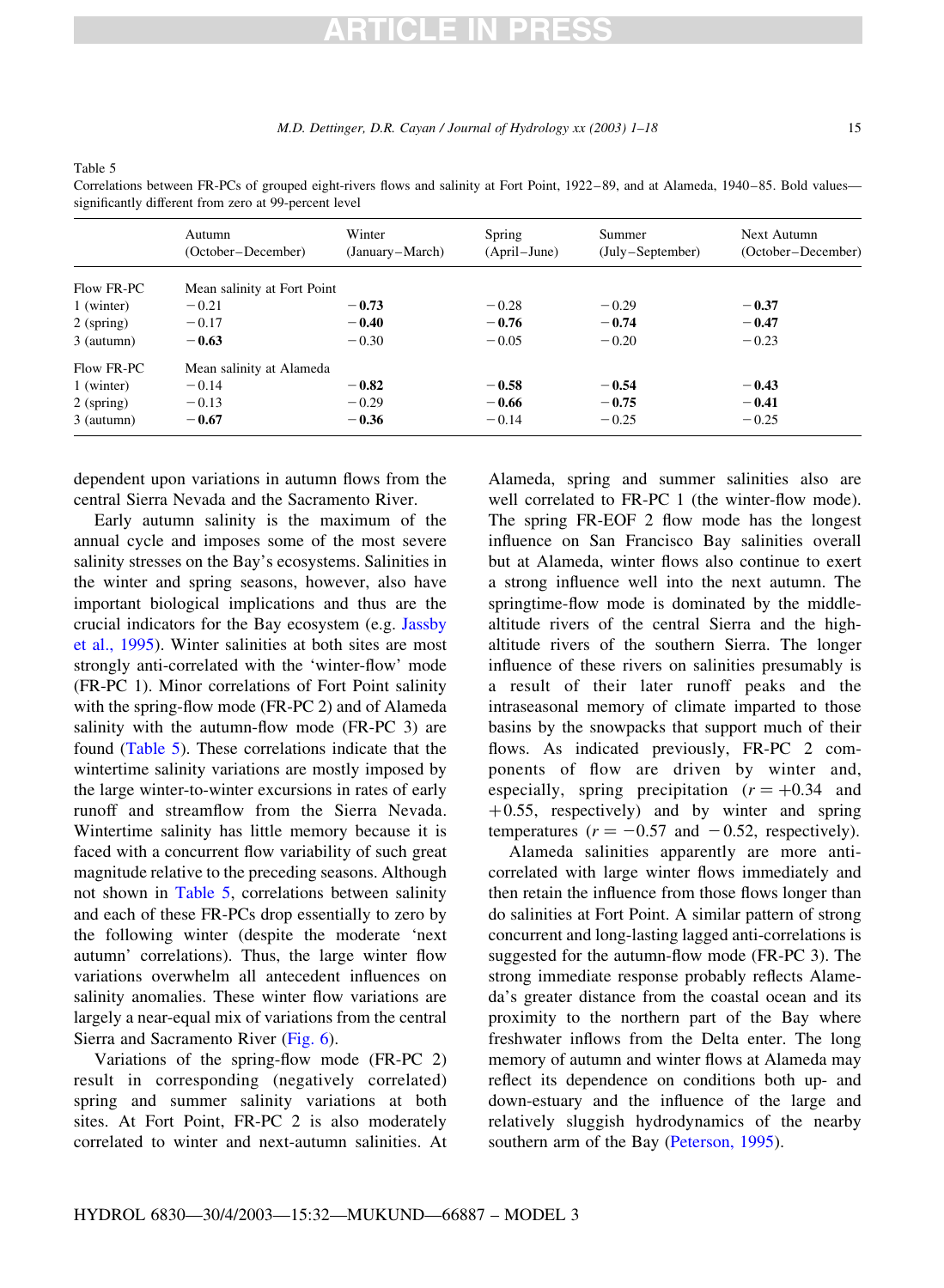M.D. Dettinger, D.R. Cayan / Journal of Hydrology xx (2003) 1–18 15

<span id="page-14-0"></span>Table 5

Correlations between FR-PCs of grouped eight-rivers flows and salinity at Fort Point, 1922–89, and at Alameda, 1940–85. Bold values significantly different from zero at 99-percent level

|              | Autumn<br>(October-December) | Winter<br>(January–March) | Spring<br>$(Apri-June)$ | Summer<br>(July–September) | Next Autumn<br>(October-December) |  |  |  |
|--------------|------------------------------|---------------------------|-------------------------|----------------------------|-----------------------------------|--|--|--|
| Flow FR-PC   | Mean salinity at Fort Point  |                           |                         |                            |                                   |  |  |  |
| 1 (winter)   | $-0.21$                      | $-0.73$                   | $-0.28$                 | $-0.29$                    | $-0.37$                           |  |  |  |
| 2 (spring)   | $-0.17$                      | $-0.40$                   | $-0.76$                 | $-0.74$                    | $-0.47$                           |  |  |  |
| 3 (autumn)   | $-0.63$                      | $-0.30$                   | $-0.05$                 | $-0.20$                    | $-0.23$                           |  |  |  |
| Flow FR-PC   | Mean salinity at Alameda     |                           |                         |                            |                                   |  |  |  |
| 1 (winter)   | $-0.14$                      | $-0.82$                   | $-0.58$                 | $-0.54$                    | $-0.43$                           |  |  |  |
| $2$ (spring) | $-0.13$                      | $-0.29$                   | $-0.66$                 | $-0.75$                    | $-0.41$                           |  |  |  |
| 3 (autumn)   | $-0.67$                      | $-0.36$                   | $-0.14$                 | $-0.25$                    | $-0.25$                           |  |  |  |

dependent upon variations in autumn flows from the central Sierra Nevada and the Sacramento River.

Early autumn salinity is the maximum of the annual cycle and imposes some of the most severe salinity stresses on the Bay's ecosystems. Salinities in the winter and spring seasons, however, also have important biological implications and thus are the crucial indicators for the Bay ecosystem (e.g. [Jassby](#page-16-0) [et al., 1995](#page-16-0)). Winter salinities at both sites are most strongly anti-correlated with the 'winter-flow' mode (FR-PC 1). Minor correlations of Fort Point salinity with the spring-flow mode (FR-PC 2) and of Alameda salinity with the autumn-flow mode (FR-PC 3) are found (Table 5). These correlations indicate that the wintertime salinity variations are mostly imposed by the large winter-to-winter excursions in rates of early runoff and streamflow from the Sierra Nevada. Wintertime salinity has little memory because it is faced with a concurrent flow variability of such great magnitude relative to the preceding seasons. Although not shown in Table 5, correlations between salinity and each of these FR-PCs drop essentially to zero by the following winter (despite the moderate 'next autumn' correlations). Thus, the large winter flow variations overwhelm all antecedent influences on salinity anomalies. These winter flow variations are largely a near-equal mix of variations from the central Sierra and Sacramento River ([Fig. 6\)](#page-12-0).

Variations of the spring-flow mode (FR-PC 2) result in corresponding (negatively correlated) spring and summer salinity variations at both sites. At Fort Point, FR-PC 2 is also moderately correlated to winter and next-autumn salinities. At Alameda, spring and summer salinities also are well correlated to FR-PC 1 (the winter-flow mode). The spring FR-EOF 2 flow mode has the longest influence on San Francisco Bay salinities overall but at Alameda, winter flows also continue to exert a strong influence well into the next autumn. The springtime-flow mode is dominated by the middlealtitude rivers of the central Sierra and the highaltitude rivers of the southern Sierra. The longer influence of these rivers on salinities presumably is a result of their later runoff peaks and the intraseasonal memory of climate imparted to those basins by the snowpacks that support much of their flows. As indicated previously, FR-PC 2 components of flow are driven by winter and, especially, spring precipitation  $(r = +0.34$  and  $+0.55$ , respectively) and by winter and spring temperatures ( $r = -0.57$  and  $-0.52$ , respectively).

Alameda salinities apparently are more anticorrelated with large winter flows immediately and then retain the influence from those flows longer than do salinities at Fort Point. A similar pattern of strong concurrent and long-lasting lagged anti-correlations is suggested for the autumn-flow mode (FR-PC 3). The strong immediate response probably reflects Alameda's greater distance from the coastal ocean and its proximity to the northern part of the Bay where freshwater inflows from the Delta enter. The long memory of autumn and winter flows at Alameda may reflect its dependence on conditions both up- and down-estuary and the influence of the large and relatively sluggish hydrodynamics of the nearby southern arm of the Bay ([Peterson, 1995](#page-17-0)).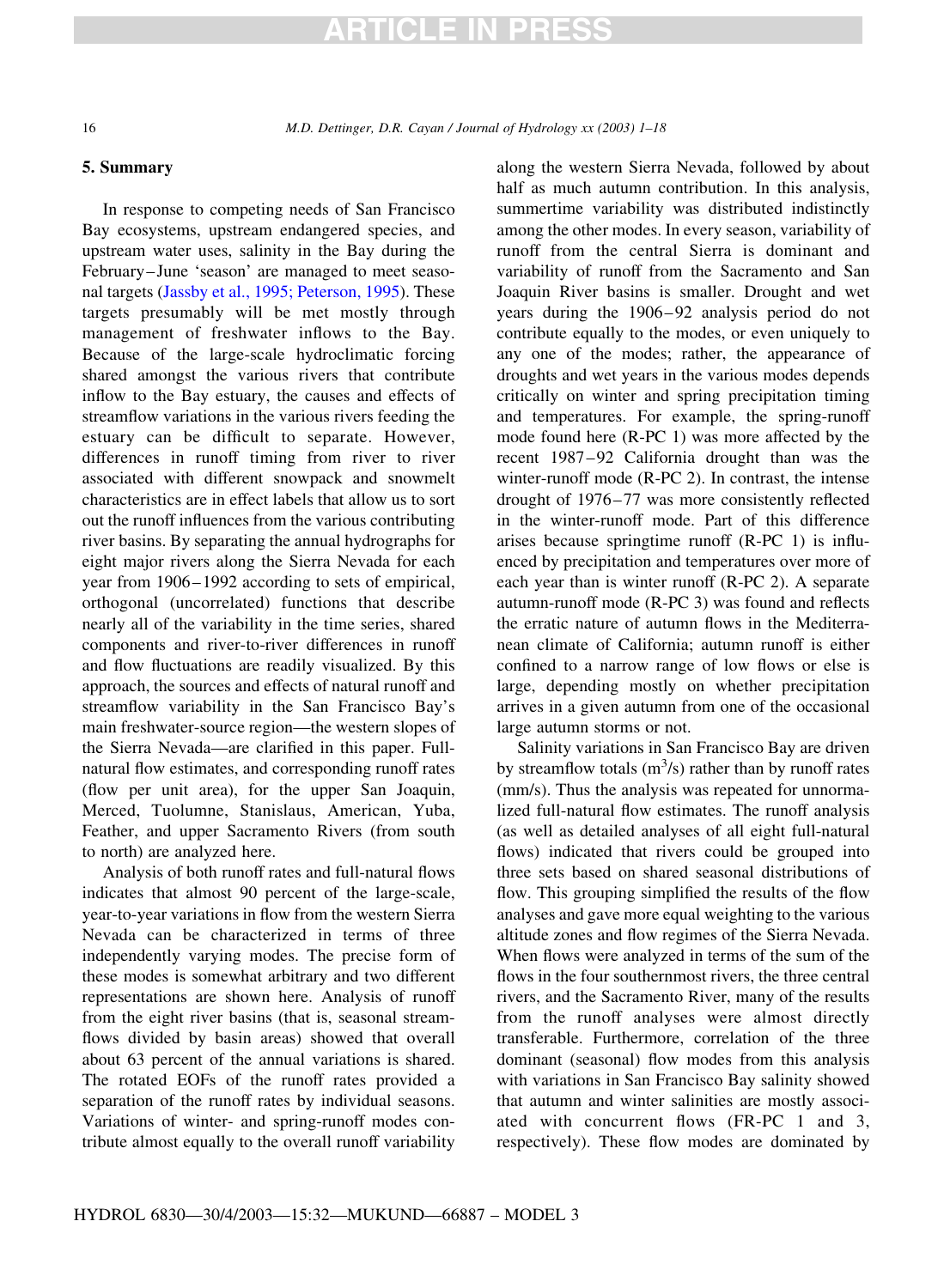#### **ICLE IN**

16 M.D. Dettinger, D.R. Cayan / Journal of Hydrology xx (2003) 1–18

#### 5. Summary

In response to competing needs of San Francisco Bay ecosystems, upstream endangered species, and upstream water uses, salinity in the Bay during the February–June 'season' are managed to meet seasonal targets [\(Jassby et al., 1995; Peterson, 1995\)](#page-16-0). These targets presumably will be met mostly through management of freshwater inflows to the Bay. Because of the large-scale hydroclimatic forcing shared amongst the various rivers that contribute inflow to the Bay estuary, the causes and effects of streamflow variations in the various rivers feeding the estuary can be difficult to separate. However, differences in runoff timing from river to river associated with different snowpack and snowmelt characteristics are in effect labels that allow us to sort out the runoff influences from the various contributing river basins. By separating the annual hydrographs for eight major rivers along the Sierra Nevada for each year from 1906–1992 according to sets of empirical, orthogonal (uncorrelated) functions that describe nearly all of the variability in the time series, shared components and river-to-river differences in runoff and flow fluctuations are readily visualized. By this approach, the sources and effects of natural runoff and streamflow variability in the San Francisco Bay's main freshwater-source region—the western slopes of the Sierra Nevada—are clarified in this paper. Fullnatural flow estimates, and corresponding runoff rates (flow per unit area), for the upper San Joaquin, Merced, Tuolumne, Stanislaus, American, Yuba, Feather, and upper Sacramento Rivers (from south to north) are analyzed here.

Analysis of both runoff rates and full-natural flows indicates that almost 90 percent of the large-scale, year-to-year variations in flow from the western Sierra Nevada can be characterized in terms of three independently varying modes. The precise form of these modes is somewhat arbitrary and two different representations are shown here. Analysis of runoff from the eight river basins (that is, seasonal streamflows divided by basin areas) showed that overall about 63 percent of the annual variations is shared. The rotated EOFs of the runoff rates provided a separation of the runoff rates by individual seasons. Variations of winter- and spring-runoff modes contribute almost equally to the overall runoff variability

along the western Sierra Nevada, followed by about half as much autumn contribution. In this analysis, summertime variability was distributed indistinctly among the other modes. In every season, variability of runoff from the central Sierra is dominant and variability of runoff from the Sacramento and San Joaquin River basins is smaller. Drought and wet years during the 1906–92 analysis period do not contribute equally to the modes, or even uniquely to any one of the modes; rather, the appearance of droughts and wet years in the various modes depends critically on winter and spring precipitation timing and temperatures. For example, the spring-runoff mode found here (R-PC 1) was more affected by the recent 1987–92 California drought than was the winter-runoff mode (R-PC 2). In contrast, the intense drought of 1976–77 was more consistently reflected in the winter-runoff mode. Part of this difference arises because springtime runoff (R-PC 1) is influenced by precipitation and temperatures over more of each year than is winter runoff (R-PC 2). A separate autumn-runoff mode (R-PC 3) was found and reflects the erratic nature of autumn flows in the Mediterranean climate of California; autumn runoff is either confined to a narrow range of low flows or else is large, depending mostly on whether precipitation arrives in a given autumn from one of the occasional large autumn storms or not.

Salinity variations in San Francisco Bay are driven by streamflow totals  $(m^3/s)$  rather than by runoff rates (mm/s). Thus the analysis was repeated for unnormalized full-natural flow estimates. The runoff analysis (as well as detailed analyses of all eight full-natural flows) indicated that rivers could be grouped into three sets based on shared seasonal distributions of flow. This grouping simplified the results of the flow analyses and gave more equal weighting to the various altitude zones and flow regimes of the Sierra Nevada. When flows were analyzed in terms of the sum of the flows in the four southernmost rivers, the three central rivers, and the Sacramento River, many of the results from the runoff analyses were almost directly transferable. Furthermore, correlation of the three dominant (seasonal) flow modes from this analysis with variations in San Francisco Bay salinity showed that autumn and winter salinities are mostly associated with concurrent flows (FR-PC 1 and 3, respectively). These flow modes are dominated by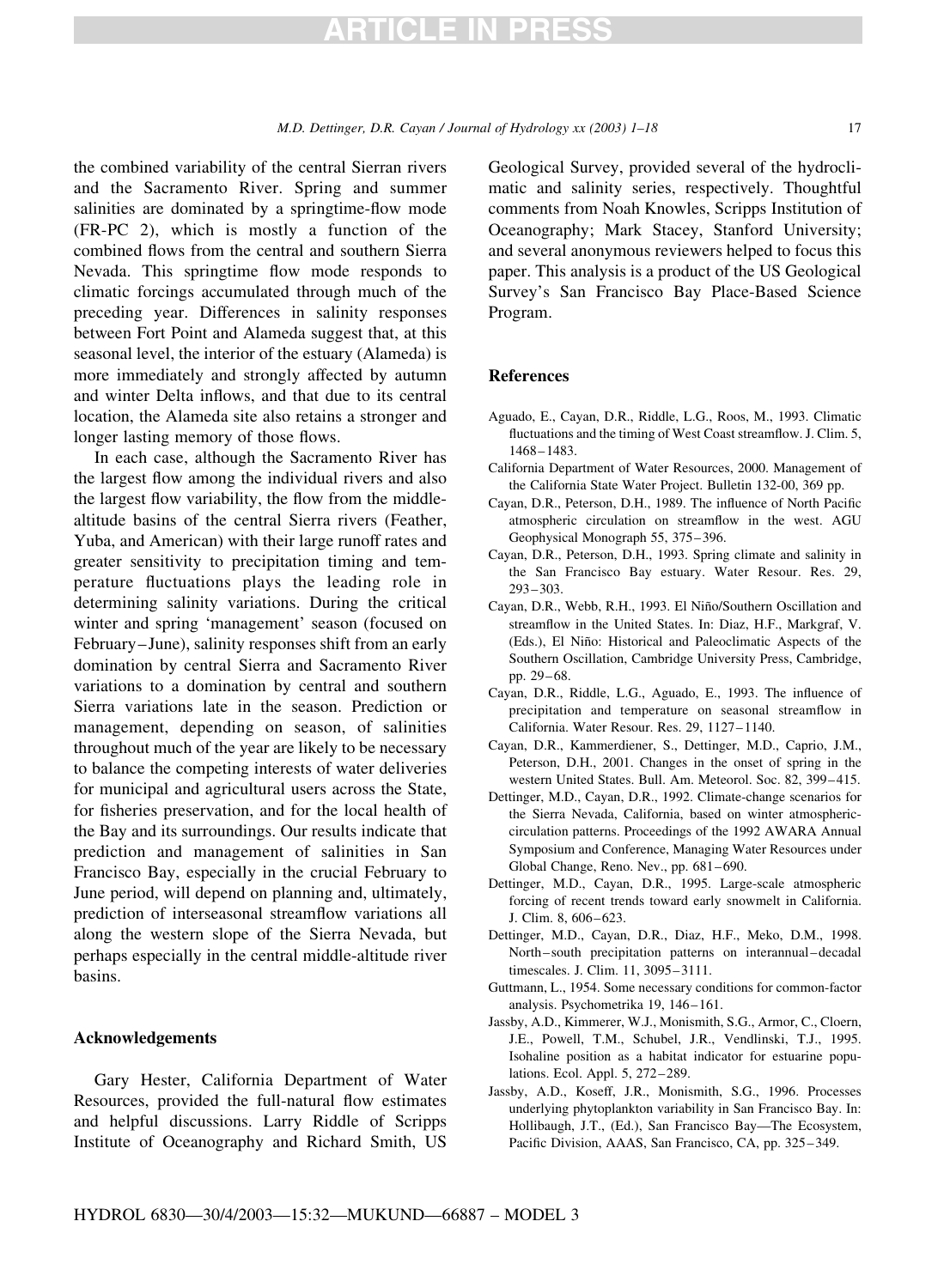### TICLE IN

<span id="page-16-0"></span>the combined variability of the central Sierran rivers and the Sacramento River. Spring and summer salinities are dominated by a springtime-flow mode (FR-PC 2), which is mostly a function of the combined flows from the central and southern Sierra Nevada. This springtime flow mode responds to climatic forcings accumulated through much of the preceding year. Differences in salinity responses between Fort Point and Alameda suggest that, at this seasonal level, the interior of the estuary (Alameda) is more immediately and strongly affected by autumn and winter Delta inflows, and that due to its central location, the Alameda site also retains a stronger and longer lasting memory of those flows.

In each case, although the Sacramento River has the largest flow among the individual rivers and also the largest flow variability, the flow from the middlealtitude basins of the central Sierra rivers (Feather, Yuba, and American) with their large runoff rates and greater sensitivity to precipitation timing and temperature fluctuations plays the leading role in determining salinity variations. During the critical winter and spring 'management' season (focused on February–June), salinity responses shift from an early domination by central Sierra and Sacramento River variations to a domination by central and southern Sierra variations late in the season. Prediction or management, depending on season, of salinities throughout much of the year are likely to be necessary to balance the competing interests of water deliveries for municipal and agricultural users across the State, for fisheries preservation, and for the local health of the Bay and its surroundings. Our results indicate that prediction and management of salinities in San Francisco Bay, especially in the crucial February to June period, will depend on planning and, ultimately, prediction of interseasonal streamflow variations all along the western slope of the Sierra Nevada, but perhaps especially in the central middle-altitude river basins.

#### Acknowledgements

Gary Hester, California Department of Water Resources, provided the full-natural flow estimates and helpful discussions. Larry Riddle of Scripps Institute of Oceanography and Richard Smith, US Geological Survey, provided several of the hydroclimatic and salinity series, respectively. Thoughtful comments from Noah Knowles, Scripps Institution of Oceanography; Mark Stacey, Stanford University; and several anonymous reviewers helped to focus this paper. This analysis is a product of the US Geological Survey's San Francisco Bay Place-Based Science Program.

#### References

- Aguado, E., Cayan, D.R., Riddle, L.G., Roos, M., 1993. Climatic fluctuations and the timing of West Coast streamflow. J. Clim. 5, 1468–1483.
- California Department of Water Resources, 2000. Management of the California State Water Project. Bulletin 132-00, 369 pp.
- Cayan, D.R., Peterson, D.H., 1989. The influence of North Pacific atmospheric circulation on streamflow in the west. AGU Geophysical Monograph 55, 375–396.
- Cayan, D.R., Peterson, D.H., 1993. Spring climate and salinity in the San Francisco Bay estuary. Water Resour. Res. 29, 293–303.
- Cayan, D.R., Webb, R.H., 1993. El Niño/Southern Oscillation and streamflow in the United States. In: Diaz, H.F., Markgraf, V. (Eds.), El Niño: Historical and Paleoclimatic Aspects of the Southern Oscillation, Cambridge University Press, Cambridge, pp. 29–68.
- Cayan, D.R., Riddle, L.G., Aguado, E., 1993. The influence of precipitation and temperature on seasonal streamflow in California. Water Resour. Res. 29, 1127–1140.
- Cayan, D.R., Kammerdiener, S., Dettinger, M.D., Caprio, J.M., Peterson, D.H., 2001. Changes in the onset of spring in the western United States. Bull. Am. Meteorol. Soc. 82, 399–415.
- Dettinger, M.D., Cayan, D.R., 1992. Climate-change scenarios for the Sierra Nevada, California, based on winter atmosphericcirculation patterns. Proceedings of the 1992 AWARA Annual Symposium and Conference, Managing Water Resources under Global Change, Reno. Nev., pp. 681–690.
- Dettinger, M.D., Cayan, D.R., 1995. Large-scale atmospheric forcing of recent trends toward early snowmelt in California. J. Clim. 8, 606–623.
- Dettinger, M.D., Cayan, D.R., Diaz, H.F., Meko, D.M., 1998. North–south precipitation patterns on interannual–decadal timescales. J. Clim. 11, 3095–3111.
- Guttmann, L., 1954. Some necessary conditions for common-factor analysis. Psychometrika 19, 146–161.
- Jassby, A.D., Kimmerer, W.J., Monismith, S.G., Armor, C., Cloern, J.E., Powell, T.M., Schubel, J.R., Vendlinski, T.J., 1995. Isohaline position as a habitat indicator for estuarine populations. Ecol. Appl. 5, 272–289.
- Jassby, A.D., Koseff, J.R., Monismith, S.G., 1996. Processes underlying phytoplankton variability in San Francisco Bay. In: Hollibaugh, J.T., (Ed.), San Francisco Bay—The Ecosystem, Pacific Division, AAAS, San Francisco, CA, pp. 325–349.